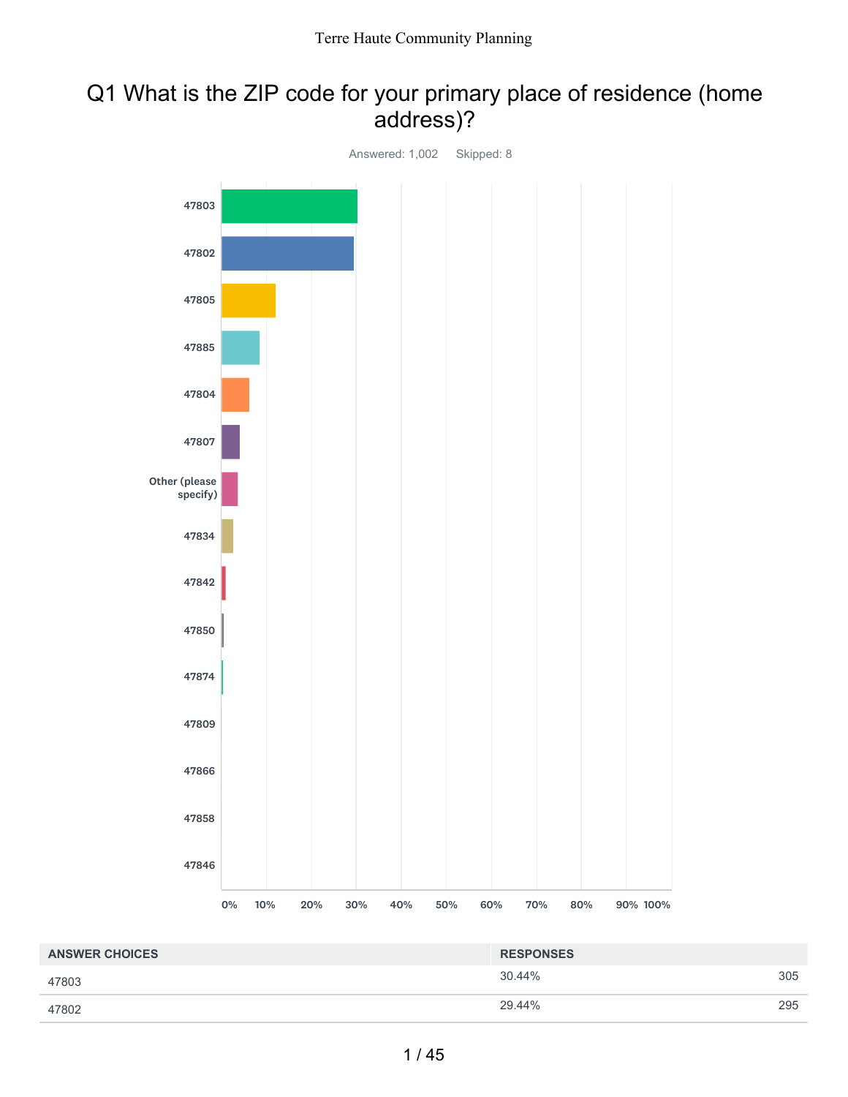### Q1 What is the ZIP code for your primary place of residence (home address)?



| <b>ANSWER CHOICES</b> | <b>RESPONSES</b> |     |
|-----------------------|------------------|-----|
| 47803                 | 30.44%           | 305 |
| 47802                 | 29.44%           | 295 |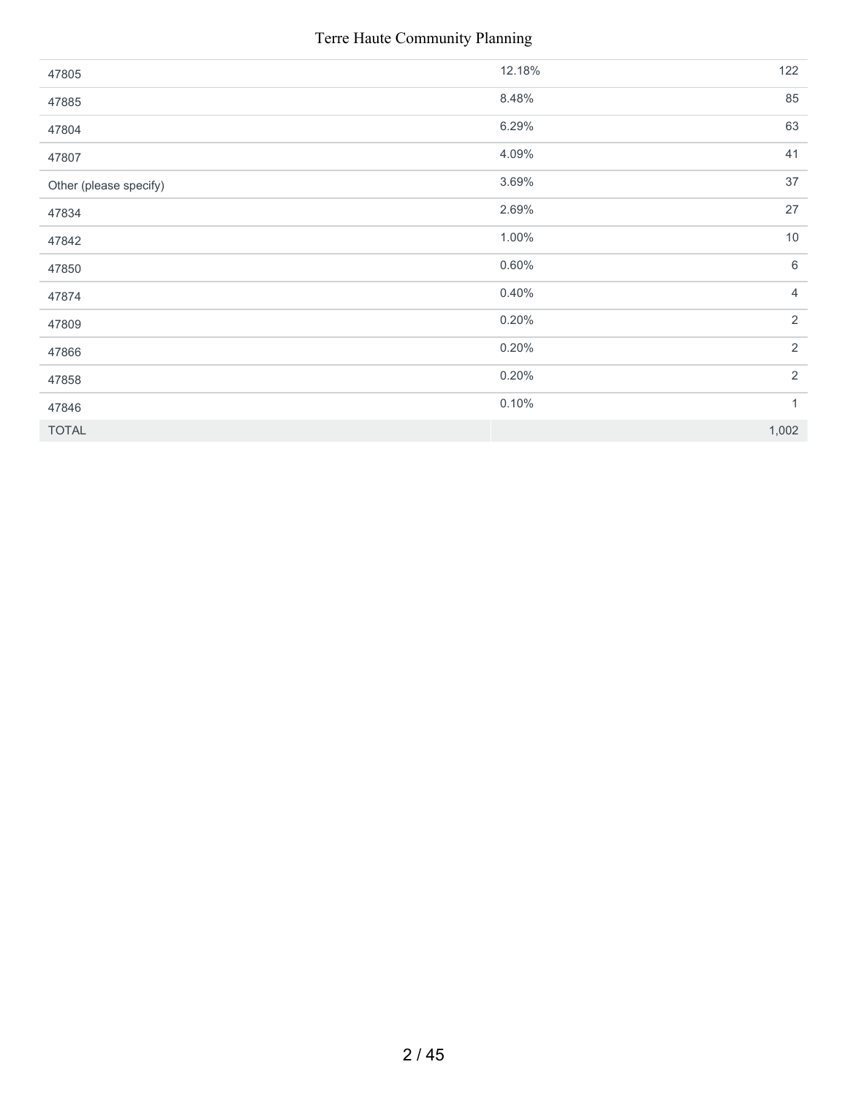| 47805                  | 12.18% | 122            |
|------------------------|--------|----------------|
| 47885                  | 8.48%  | 85             |
| 47804                  | 6.29%  | 63             |
| 47807                  | 4.09%  | 41             |
| Other (please specify) | 3.69%  | 37             |
| 47834                  | 2.69%  | 27             |
| 47842                  | 1.00%  | $10$           |
| 47850                  | 0.60%  | 6              |
| 47874                  | 0.40%  | $\overline{4}$ |
| 47809                  | 0.20%  | $\overline{2}$ |
| 47866                  | 0.20%  | $\overline{2}$ |
| 47858                  | 0.20%  | $\overline{2}$ |
| 47846                  | 0.10%  | $\mathbf{1}$   |
| <b>TOTAL</b>           |        | 1,002          |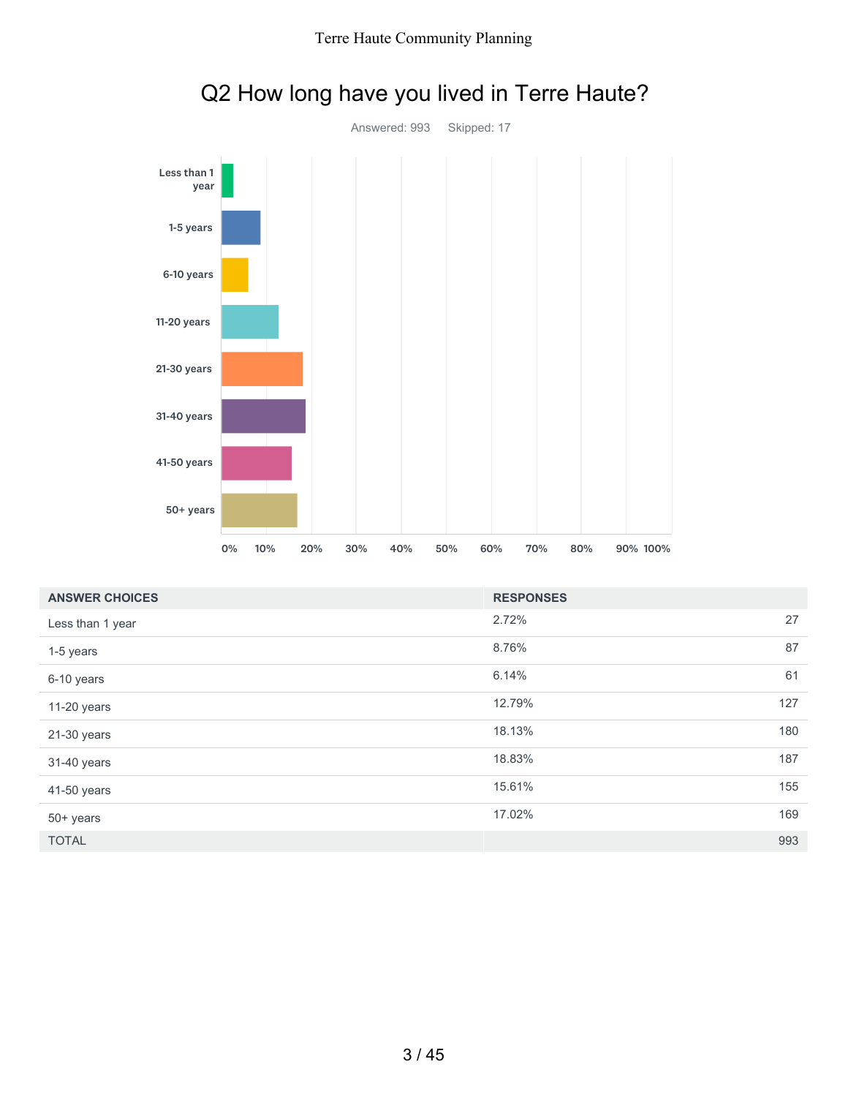

# Q2 How long have you lived in Terre Haute?

| <b>ANSWER CHOICES</b> | <b>RESPONSES</b> |     |
|-----------------------|------------------|-----|
| Less than 1 year      | 2.72%            | 27  |
| 1-5 years             | 8.76%            | 87  |
| 6-10 years            | 6.14%            | 61  |
| 11-20 years           | 12.79%           | 127 |
| 21-30 years           | 18.13%           | 180 |
| 31-40 years           | 18.83%           | 187 |
| 41-50 years           | 15.61%           | 155 |
| 50+ years             | 17.02%           | 169 |
| <b>TOTAL</b>          |                  | 993 |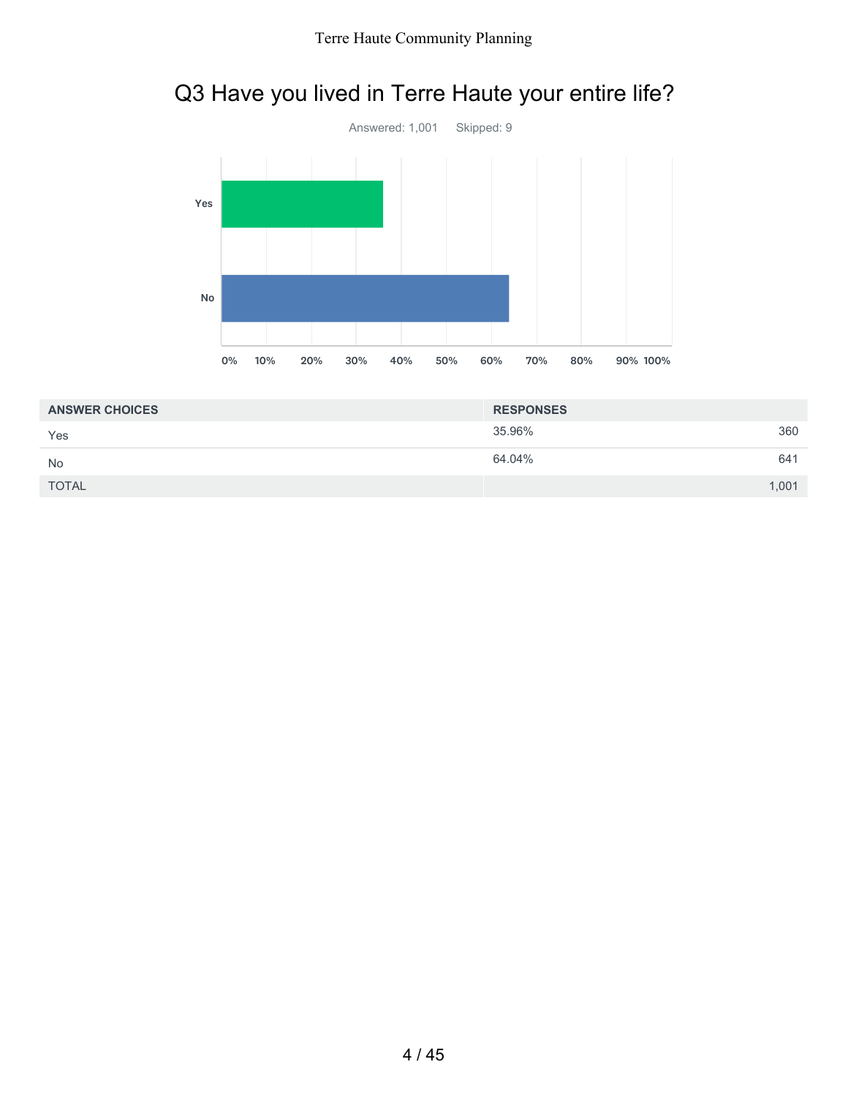



| <b>ANSWER CHOICES</b> | <b>RESPONSES</b> |       |
|-----------------------|------------------|-------|
| Yes                   | 35.96%           | 360   |
| <b>No</b>             | 64.04%           | 641   |
| <b>TOTAL</b>          |                  | 1,001 |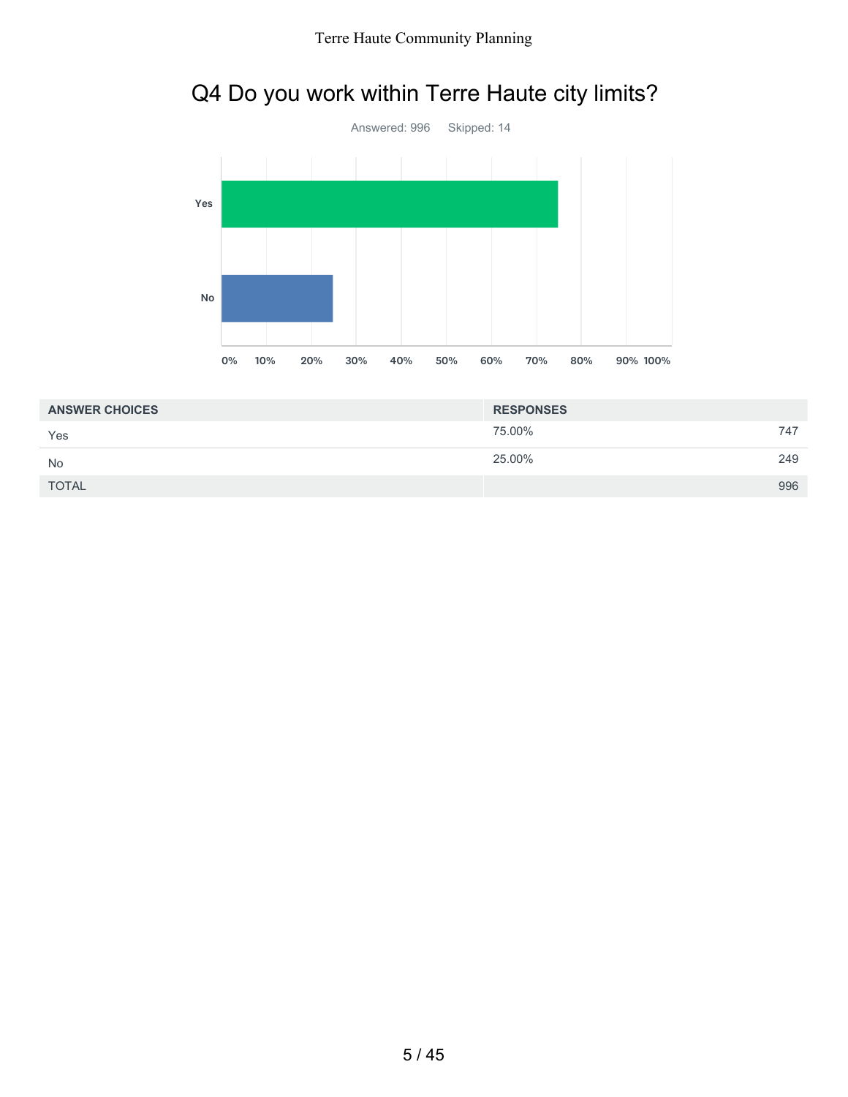## Q4 Do you work within Terre Haute city limits?



| <b>ANSWER CHOICES</b> | <b>RESPONSES</b> |     |
|-----------------------|------------------|-----|
| Yes                   | 75.00%           | 747 |
| <b>No</b>             | 25.00%           | 249 |
| <b>TOTAL</b>          |                  | 996 |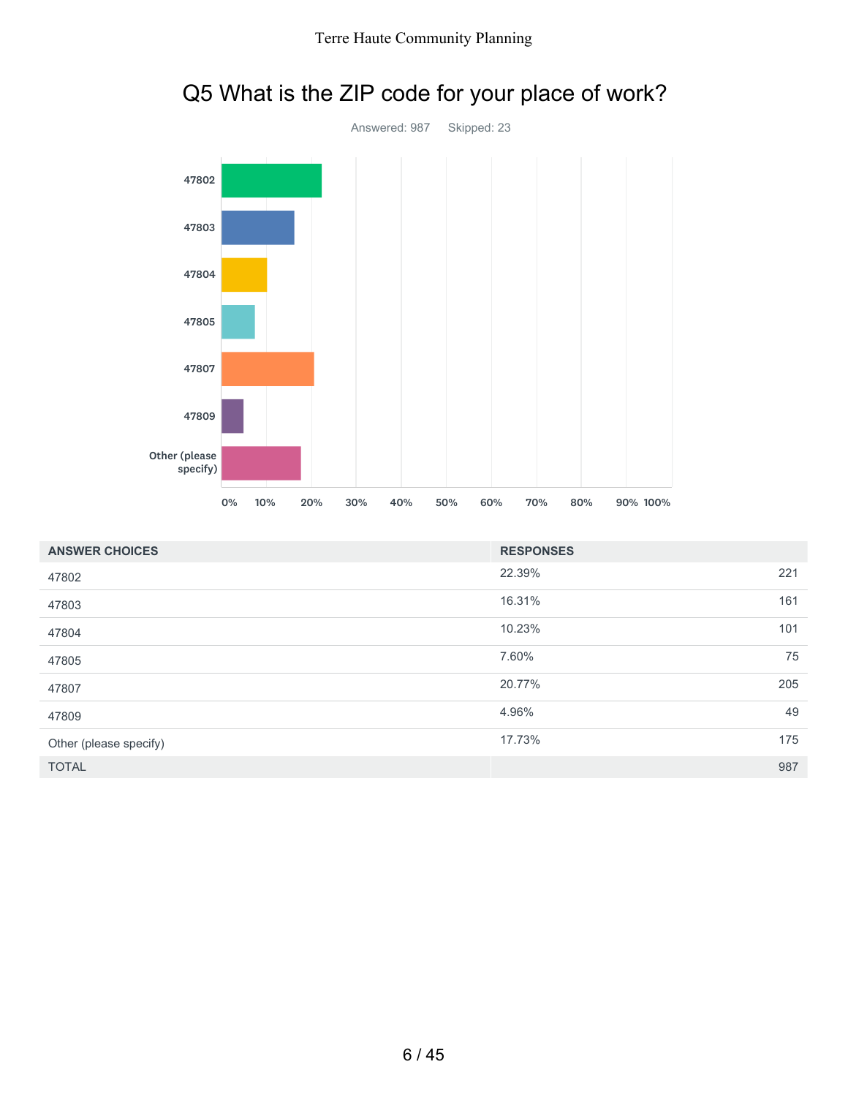

| <b>ANSWER CHOICES</b>  | <b>RESPONSES</b> |     |
|------------------------|------------------|-----|
| 47802                  | 22.39%           | 221 |
| 47803                  | 16.31%           | 161 |
| 47804                  | 10.23%           | 101 |
| 47805                  | 7.60%            | 75  |
| 47807                  | 20.77%           | 205 |
| 47809                  | 4.96%            | 49  |
| Other (please specify) | 17.73%           | 175 |
| <b>TOTAL</b>           |                  | 987 |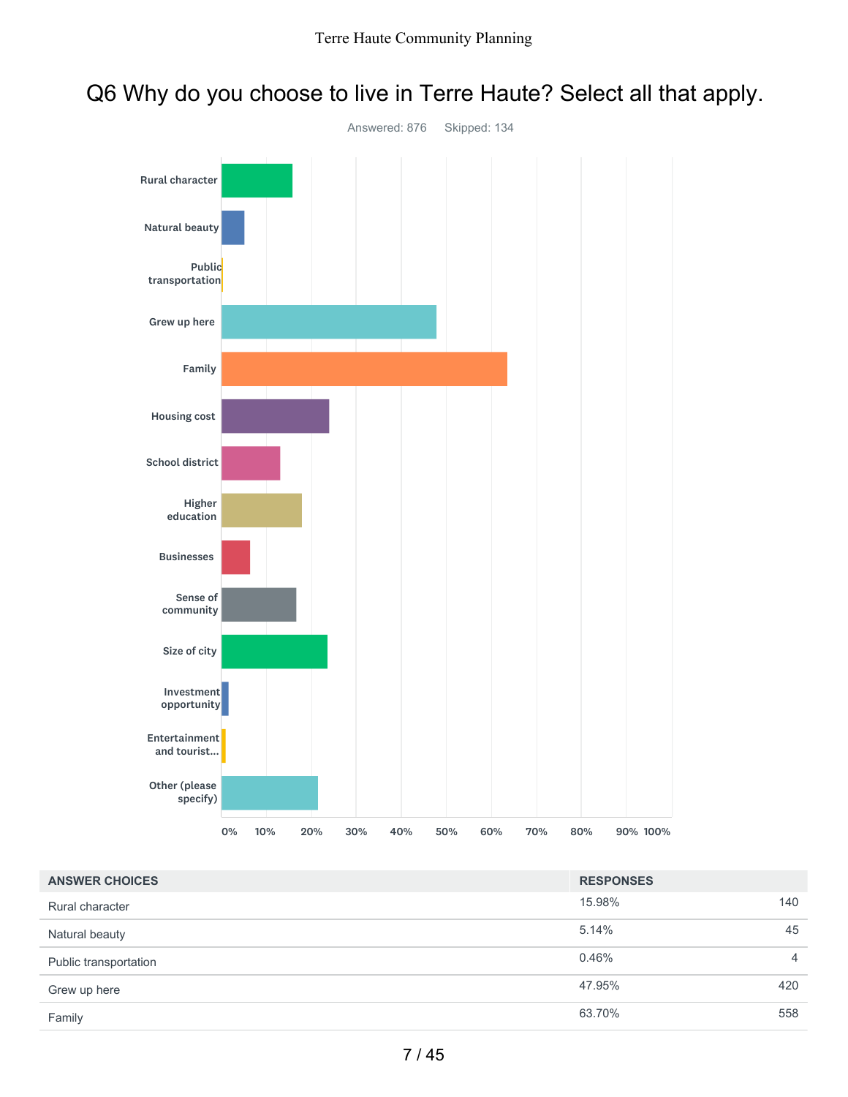### Q6 Why do you choose to live in Terre Haute? Select all that apply.



| <b>ANSWER CHOICES</b> | <b>RESPONSES</b> |                |
|-----------------------|------------------|----------------|
| Rural character       | 15.98%           | 140            |
| Natural beauty        | 5.14%            | 45             |
| Public transportation | 0.46%            | $\overline{4}$ |
| Grew up here          | 47.95%           | 420            |
| Family                | 63.70%           | 558            |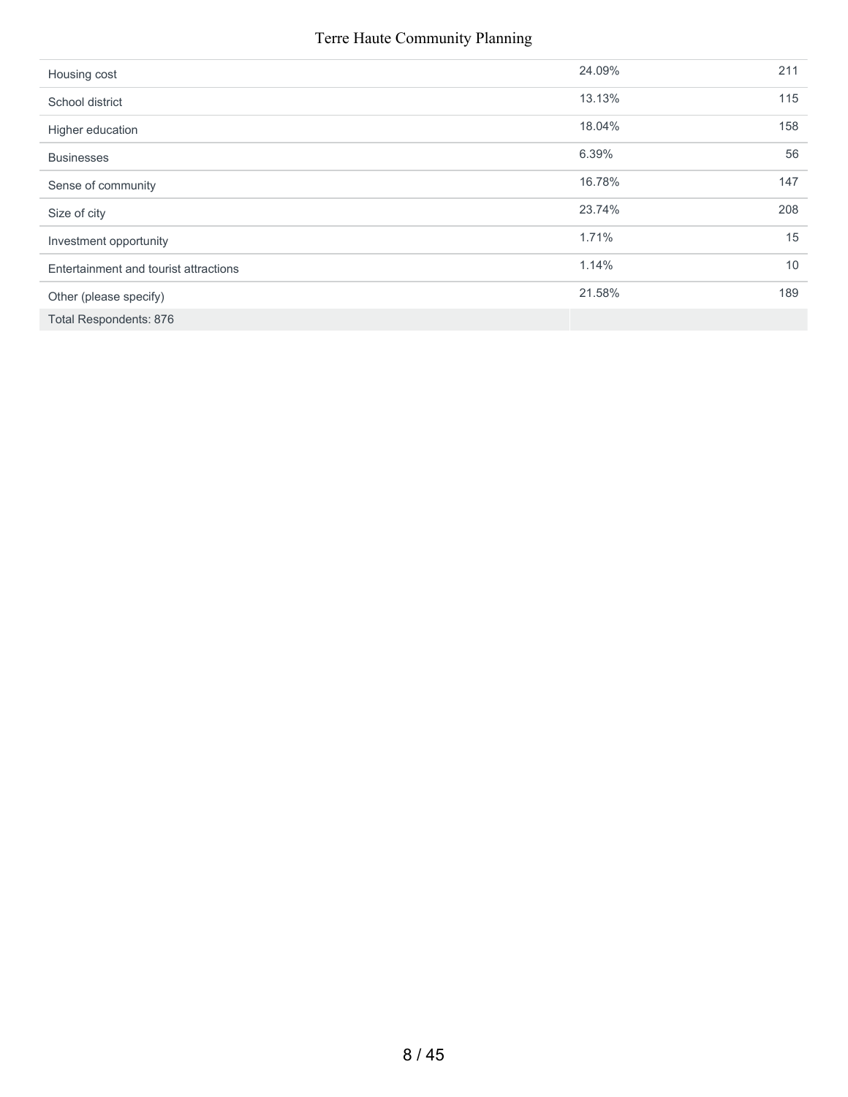| Housing cost                          | 24.09% | 211 |
|---------------------------------------|--------|-----|
| School district                       | 13.13% | 115 |
| Higher education                      | 18.04% | 158 |
| <b>Businesses</b>                     | 6.39%  | 56  |
| Sense of community                    | 16.78% | 147 |
| Size of city                          | 23.74% | 208 |
| Investment opportunity                | 1.71%  | 15  |
| Entertainment and tourist attractions | 1.14%  | 10  |
| Other (please specify)                | 21.58% | 189 |
| <b>Total Respondents: 876</b>         |        |     |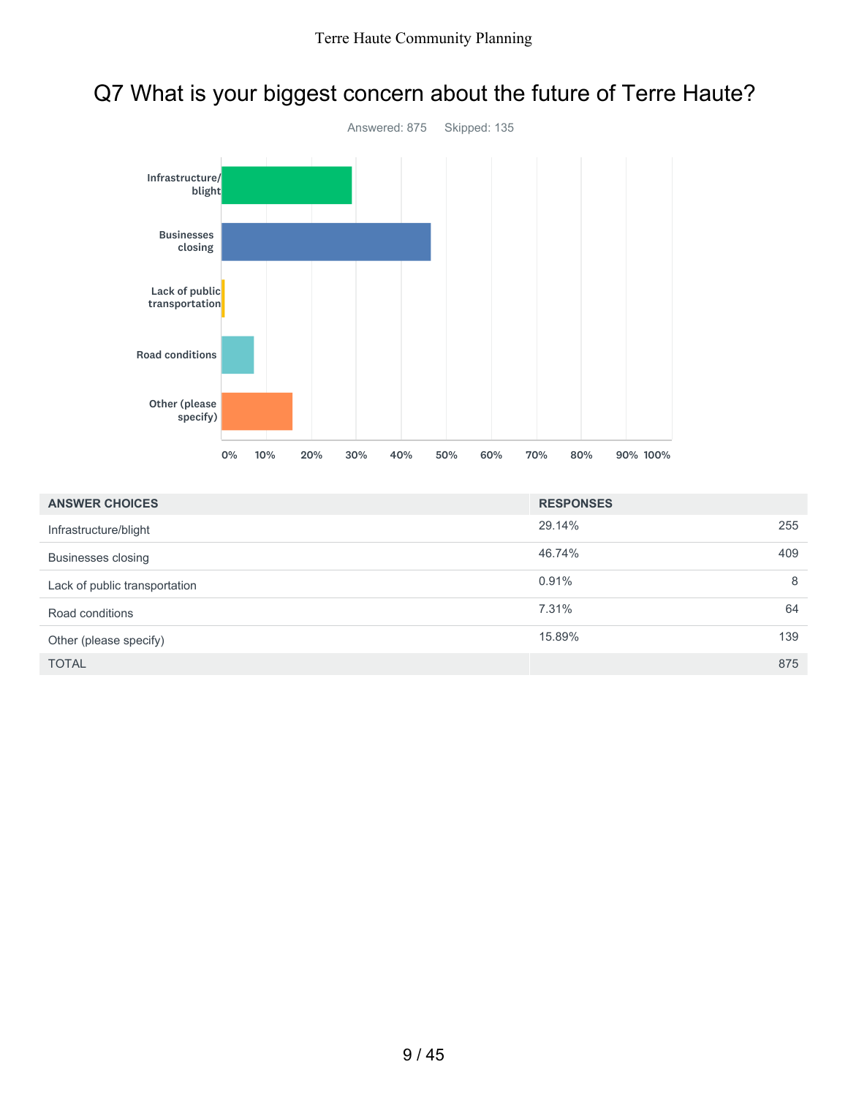

## Q7 What is your biggest concern about the future of Terre Haute?

| <b>ANSWER CHOICES</b>         | <b>RESPONSES</b> |     |
|-------------------------------|------------------|-----|
| Infrastructure/blight         | 29.14%           | 255 |
| Businesses closing            | 46.74%           | 409 |
| Lack of public transportation | 0.91%            | 8   |
| Road conditions               | 7.31%            | 64  |
| Other (please specify)        | 15.89%           | 139 |
| <b>TOTAL</b>                  |                  | 875 |

0% 10% 20% 30% 40% 50% 60% 70% 80% 90% 100%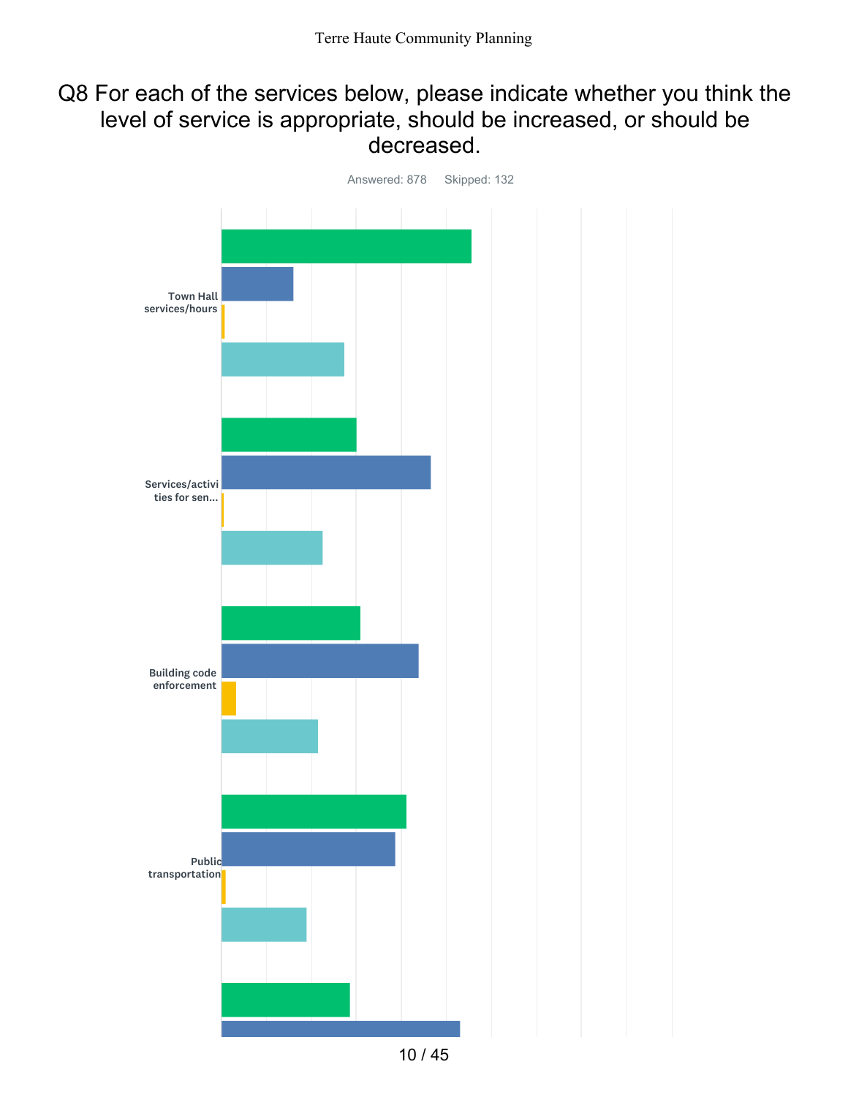### Q8 For each of the services below, please indicate whether you think the level of service is appropriate, should be increased, or should be decreased.



10 / 45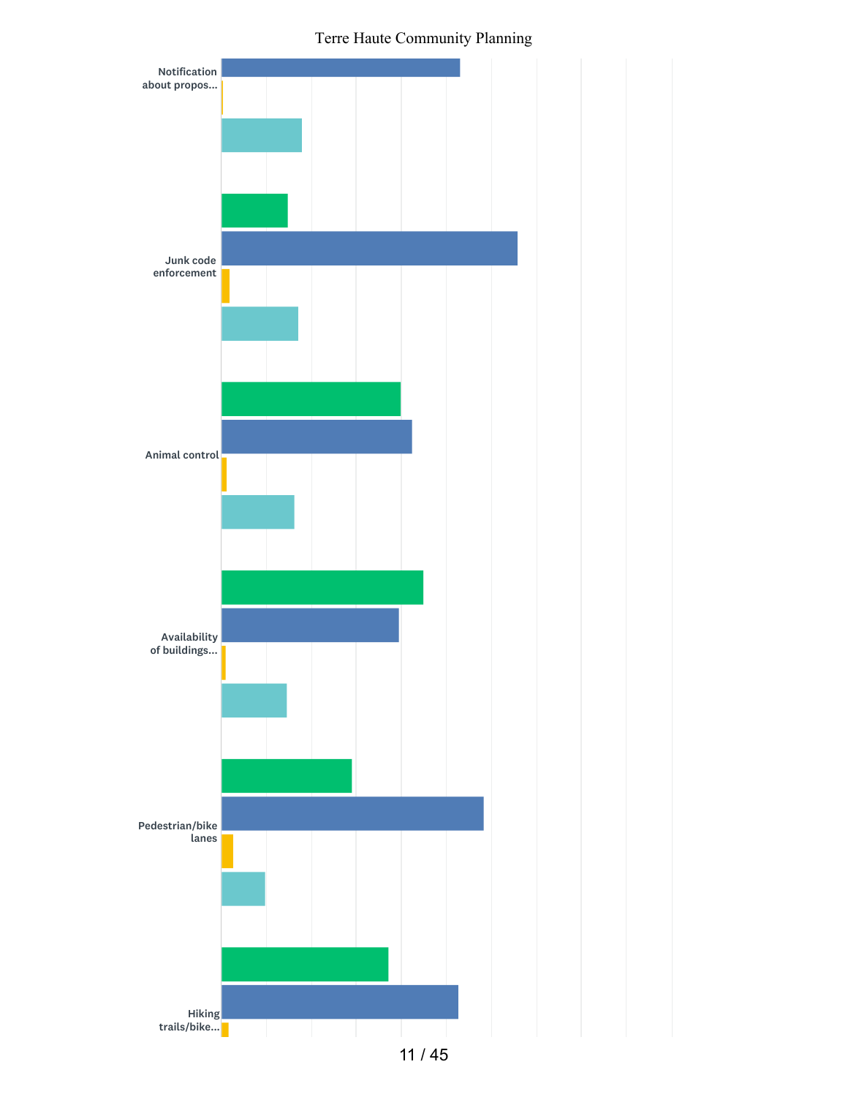

11 / 45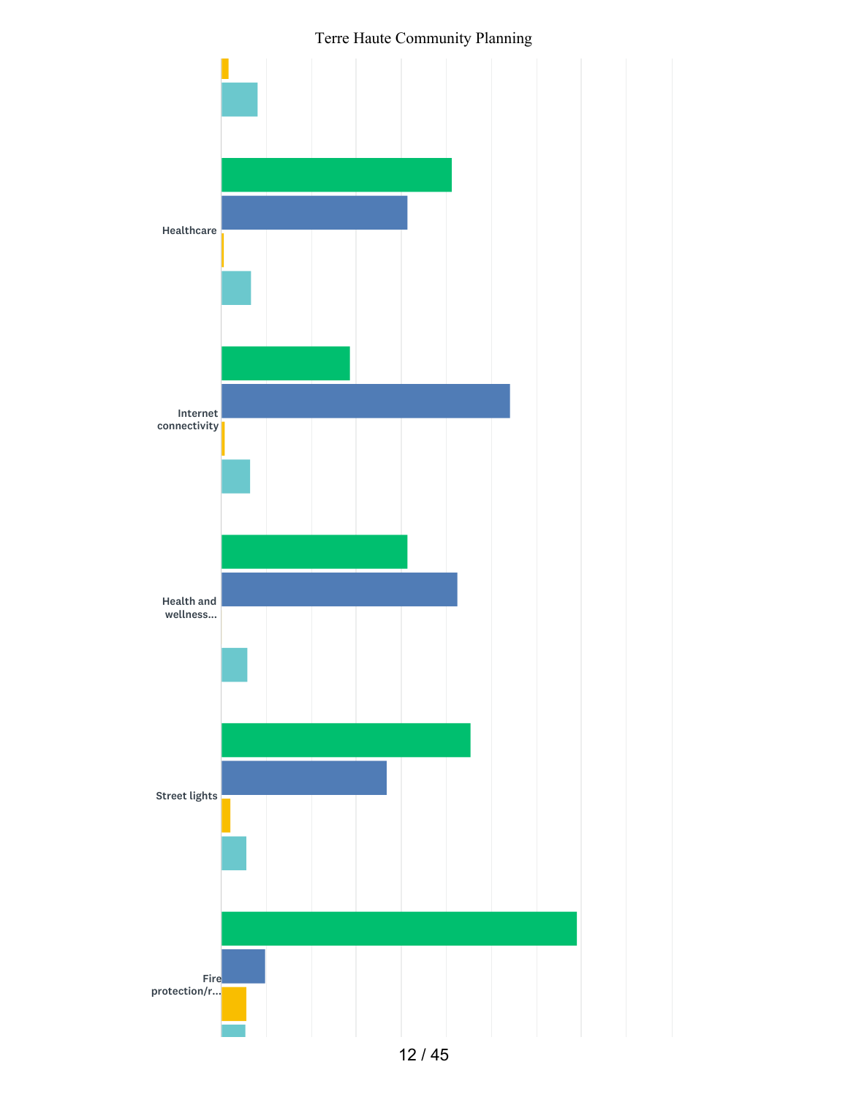Terre Haute Community Planning

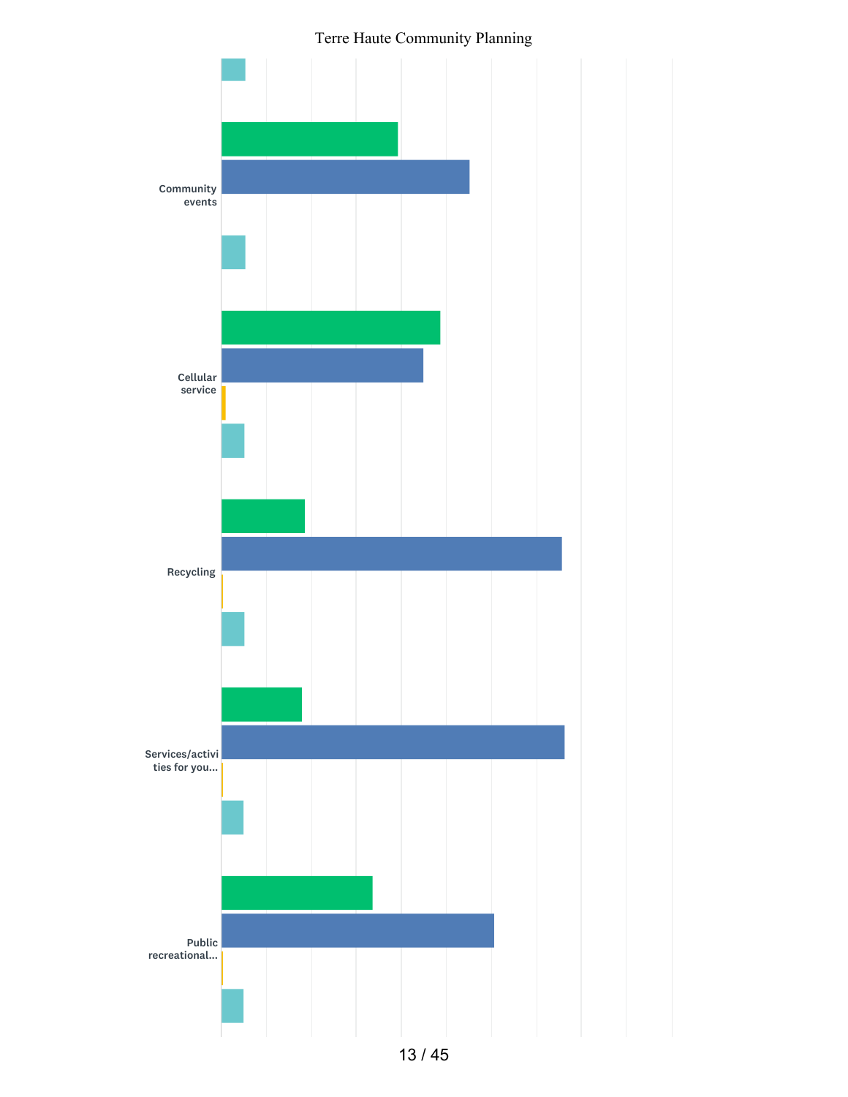



13 / 45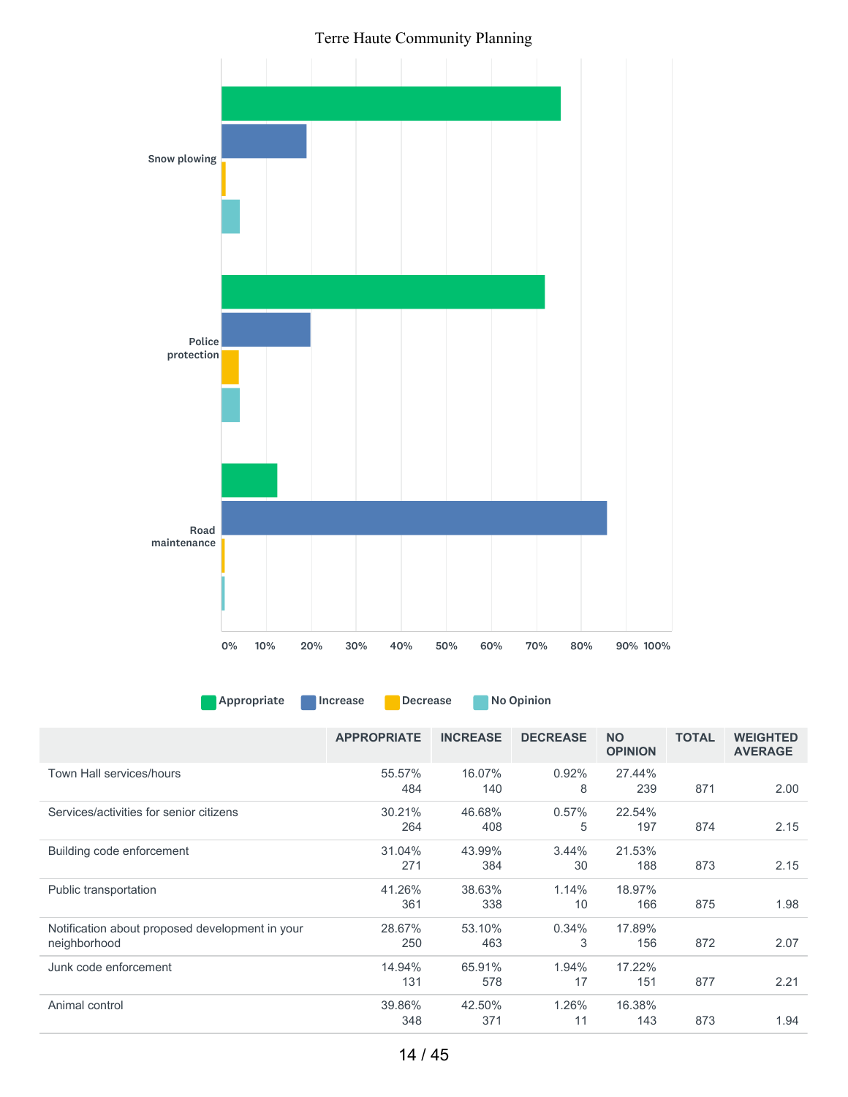Terre Haute Community Planning



Appropriate Increase Decrease No Opinion

|                                                                 | <b>APPROPRIATE</b> | <b>INCREASE</b> | <b>DECREASE</b> | <b>NO</b><br><b>OPINION</b> | <b>TOTAL</b> | <b>WEIGHTED</b><br><b>AVERAGE</b> |
|-----------------------------------------------------------------|--------------------|-----------------|-----------------|-----------------------------|--------------|-----------------------------------|
| Town Hall services/hours                                        | 55.57%<br>484      | 16.07%<br>140   | $0.92\%$<br>8   | 27.44%<br>239               | 871          | 2.00                              |
| Services/activities for senior citizens                         | 30.21%<br>264      | 46.68%<br>408   | 0.57%<br>5      | 22.54%<br>197               | 874          | 2.15                              |
| Building code enforcement                                       | 31.04%<br>271      | 43.99%<br>384   | $3.44\%$<br>30  | 21.53%<br>188               | 873          | 2.15                              |
| Public transportation                                           | 41.26%<br>361      | 38.63%<br>338   | 1.14%<br>10     | 18.97%<br>166               | 875          | 1.98                              |
| Notification about proposed development in your<br>neighborhood | 28.67%<br>250      | 53.10%<br>463   | 0.34%<br>3      | 17.89%<br>156               | 872          | 2.07                              |
| Junk code enforcement                                           | 14.94%<br>131      | 65.91%<br>578   | 1.94%<br>17     | 17.22%<br>151               | 877          | 2.21                              |
| Animal control                                                  | 39.86%<br>348      | 42.50%<br>371   | 1.26%<br>11     | 16.38%<br>143               | 873          | 1.94                              |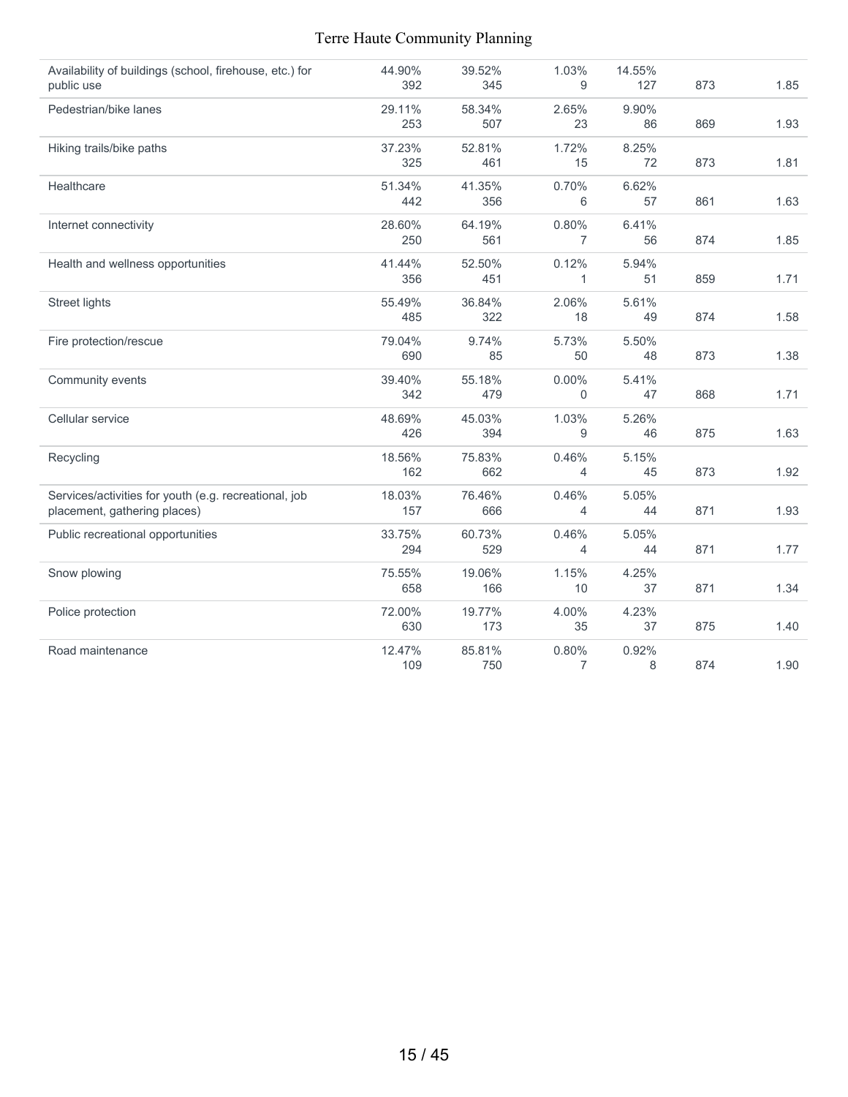| Availability of buildings (school, firehouse, etc.) for | 44.90% | 39.52% | 1.03%          | 14.55% |     |      |
|---------------------------------------------------------|--------|--------|----------------|--------|-----|------|
| public use                                              | 392    | 345    | 9              | 127    | 873 | 1.85 |
| Pedestrian/bike lanes                                   | 29.11% | 58.34% | 2.65%          | 9.90%  |     |      |
|                                                         | 253    | 507    | 23             | 86     | 869 | 1.93 |
| Hiking trails/bike paths                                | 37.23% | 52.81% | 1.72%          | 8.25%  |     |      |
|                                                         | 325    | 461    | 15             | 72     | 873 | 1.81 |
| Healthcare                                              | 51.34% | 41.35% | 0.70%          | 6.62%  |     |      |
|                                                         | 442    | 356    | 6              | 57     | 861 | 1.63 |
| Internet connectivity                                   | 28.60% | 64.19% | 0.80%          | 6.41%  |     |      |
|                                                         | 250    | 561    | $\overline{7}$ | 56     | 874 | 1.85 |
| Health and wellness opportunities                       | 41.44% | 52.50% | 0.12%          | 5.94%  |     |      |
|                                                         | 356    | 451    | 1              | 51     | 859 | 1.71 |
| Street lights                                           | 55.49% | 36.84% | 2.06%          | 5.61%  |     |      |
|                                                         | 485    | 322    | 18             | 49     | 874 | 1.58 |
| Fire protection/rescue                                  | 79.04% | 9.74%  | 5.73%          | 5.50%  |     |      |
|                                                         | 690    | 85     | 50             | 48     | 873 | 1.38 |
| Community events                                        | 39.40% | 55.18% | $0.00\%$       | 5.41%  |     |      |
|                                                         | 342    | 479    | $\overline{0}$ | 47     | 868 | 1.71 |
| Cellular service                                        | 48.69% | 45.03% | 1.03%          | 5.26%  |     |      |
|                                                         | 426    | 394    | 9              | 46     | 875 | 1.63 |
| Recycling                                               | 18.56% | 75.83% | 0.46%          | 5.15%  |     |      |
|                                                         | 162    | 662    | 4              | 45     | 873 | 1.92 |
| Services/activities for youth (e.g. recreational, job   | 18.03% | 76.46% | 0.46%          | 5.05%  |     |      |
| placement, gathering places)                            | 157    | 666    | $\overline{4}$ | 44     | 871 | 1.93 |
| Public recreational opportunities                       | 33.75% | 60.73% | 0.46%          | 5.05%  |     |      |
|                                                         | 294    | 529    | 4              | 44     | 871 | 1.77 |
| Snow plowing                                            | 75.55% | 19.06% | 1.15%          | 4.25%  |     |      |
|                                                         | 658    | 166    | 10             | 37     | 871 | 1.34 |
| Police protection                                       | 72.00% | 19.77% | 4.00%          | 4.23%  |     |      |
|                                                         | 630    | 173    | 35             | 37     | 875 | 1.40 |
| Road maintenance                                        | 12.47% | 85.81% | 0.80%          | 0.92%  |     |      |
|                                                         | 109    | 750    | 7              | 8      | 874 | 1.90 |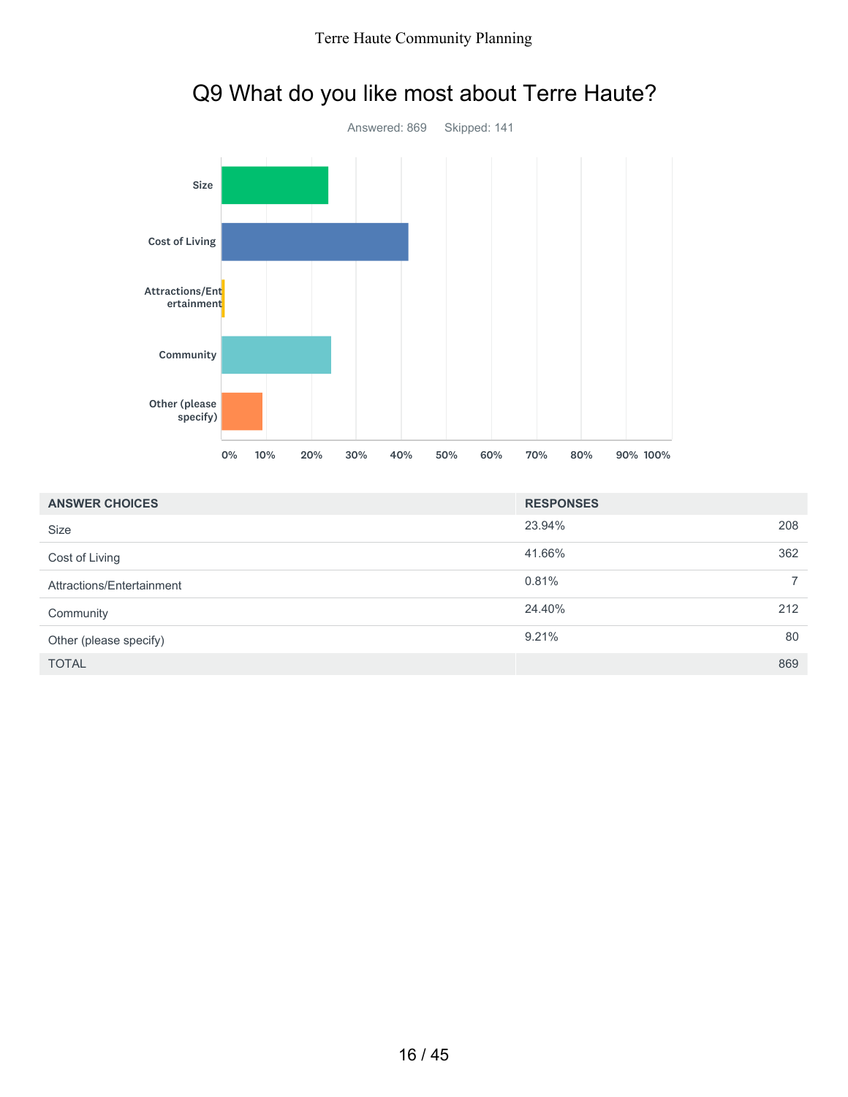

## Q9 What do you like most about Terre Haute?

| <b>ANSWER CHOICES</b>     | <b>RESPONSES</b>        |
|---------------------------|-------------------------|
| <b>Size</b>               | 23.94%<br>208           |
| Cost of Living            | 362<br>41.66%           |
| Attractions/Entertainment | 0.81%<br>$\overline{7}$ |
| Community                 | 212<br>24.40%           |
| Other (please specify)    | 9.21%<br>80             |
| <b>TOTAL</b>              | 869                     |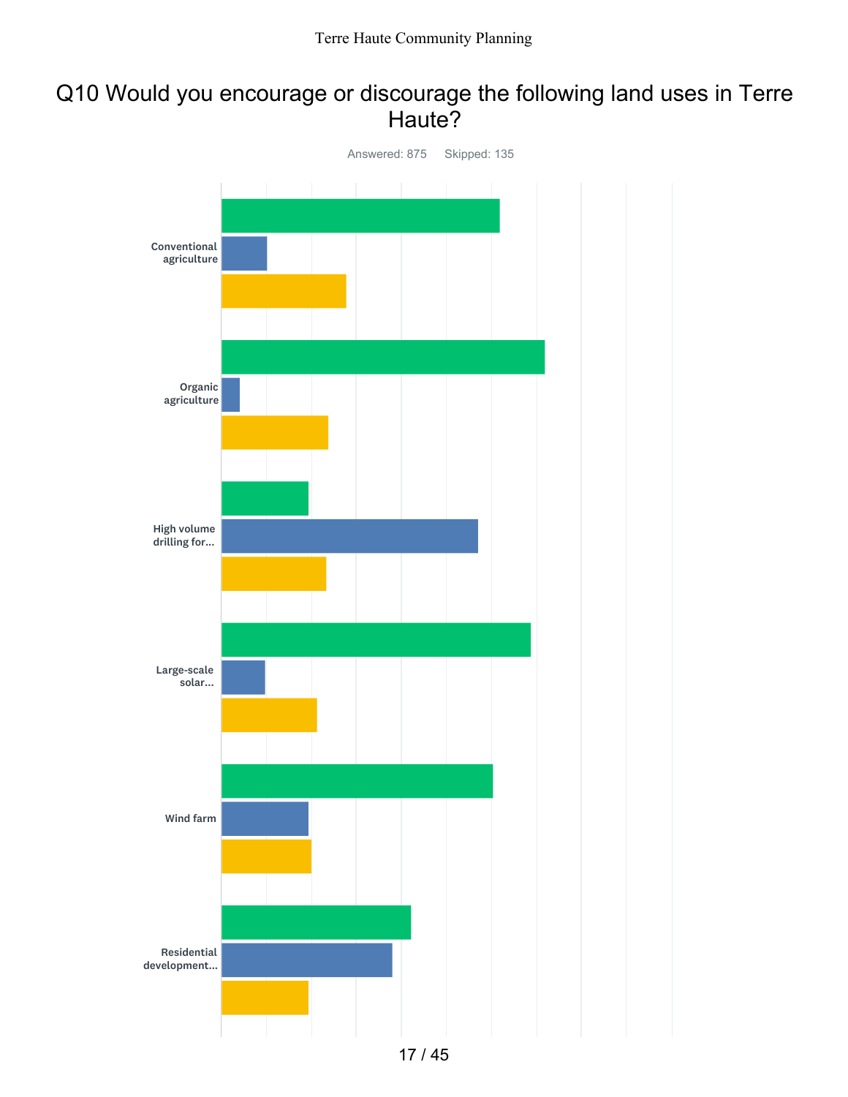### Q10 Would you encourage or discourage the following land uses in Terre Haute?

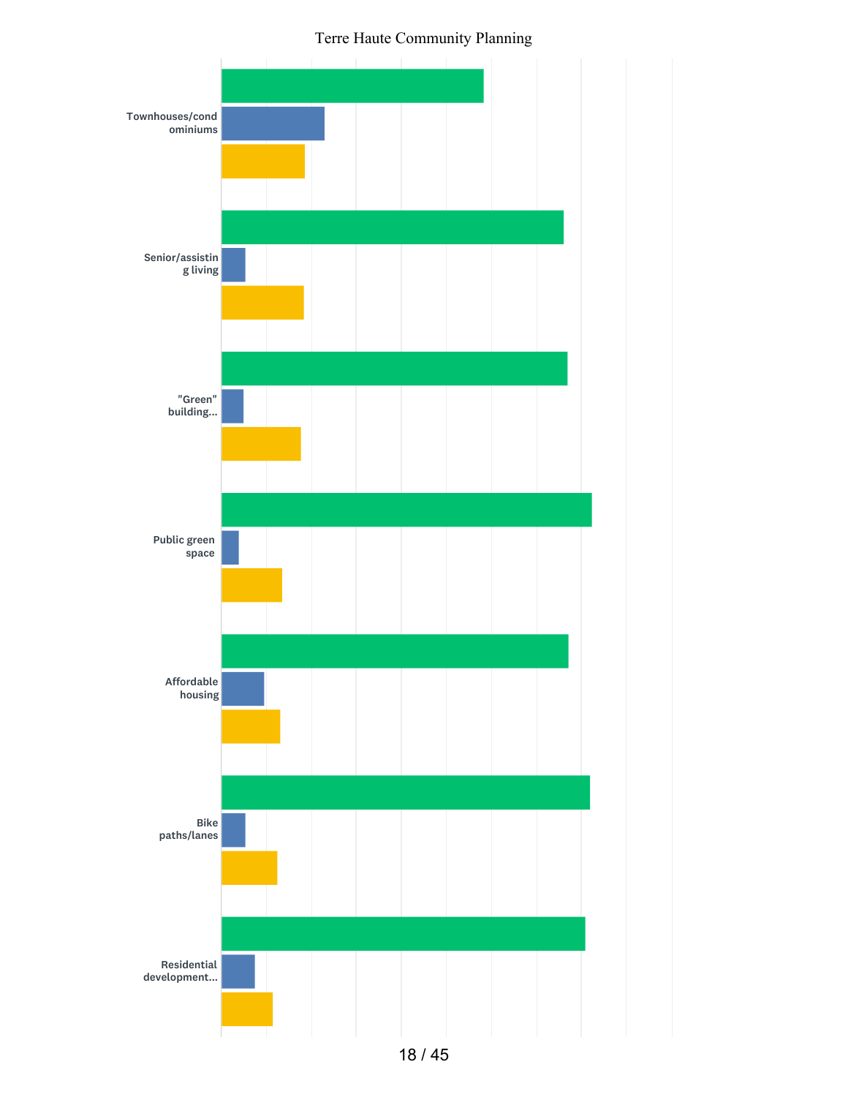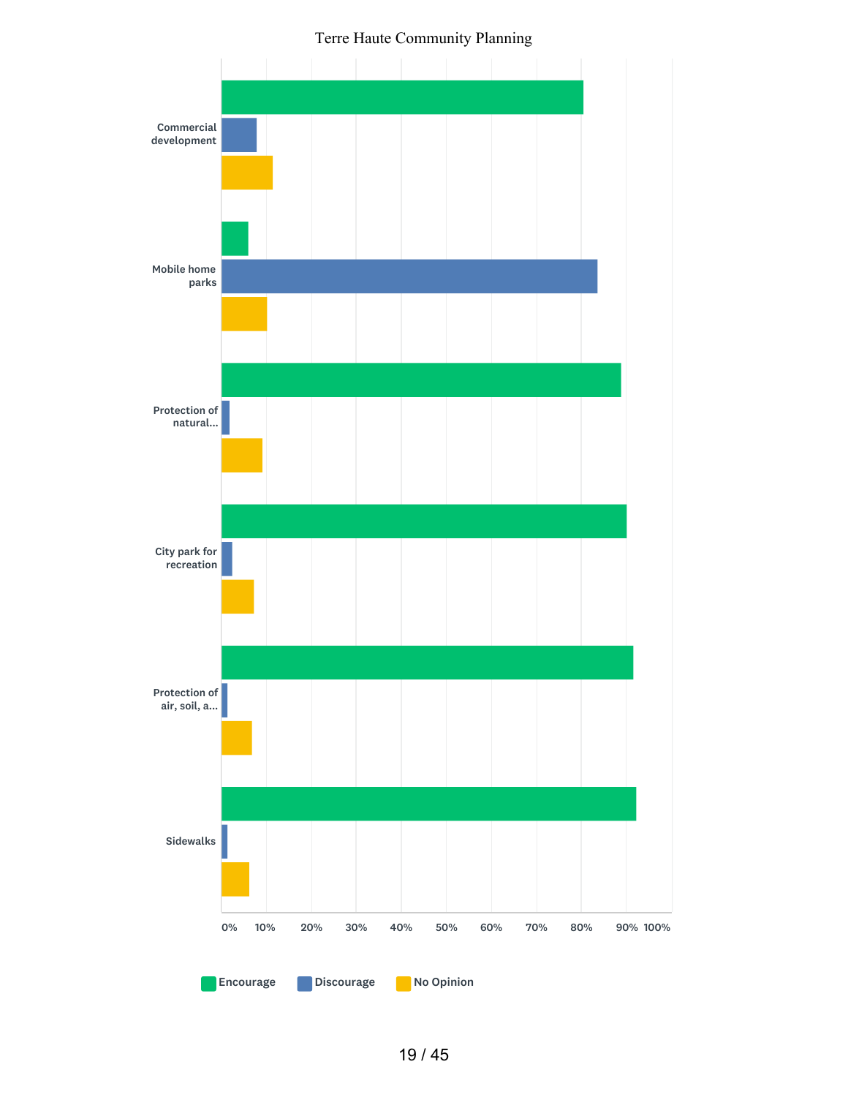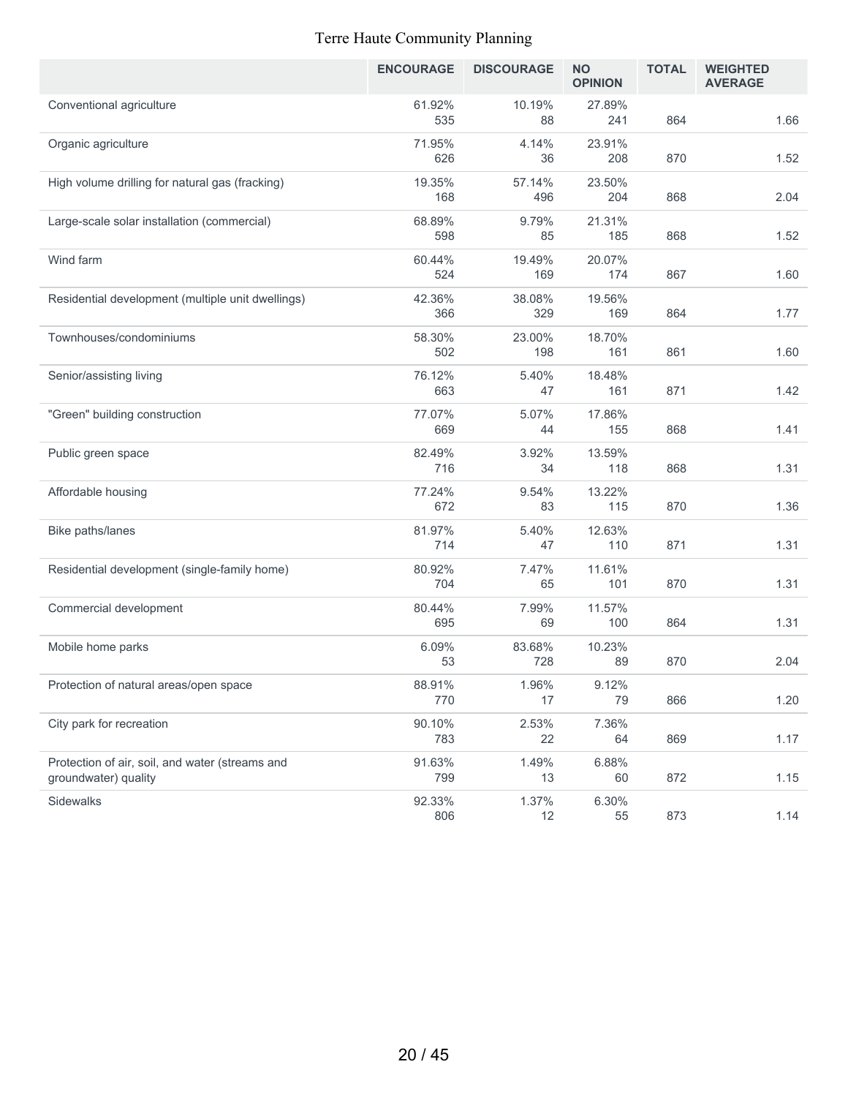|                                                                         | <b>ENCOURAGE</b> | <b>DISCOURAGE</b> | <b>NO</b><br><b>OPINION</b> | <b>TOTAL</b> | <b>WEIGHTED</b><br><b>AVERAGE</b> |
|-------------------------------------------------------------------------|------------------|-------------------|-----------------------------|--------------|-----------------------------------|
| Conventional agriculture                                                | 61.92%<br>535    | 10.19%<br>88      | 27.89%<br>241               | 864          | 1.66                              |
| Organic agriculture                                                     | 71.95%<br>626    | 4.14%<br>36       | 23.91%<br>208               | 870          | 1.52                              |
| High volume drilling for natural gas (fracking)                         | 19.35%<br>168    | 57.14%<br>496     | 23.50%<br>204               | 868          | 2.04                              |
| Large-scale solar installation (commercial)                             | 68.89%<br>598    | 9.79%<br>85       | 21.31%<br>185               | 868          | 1.52                              |
| Wind farm                                                               | 60.44%<br>524    | 19.49%<br>169     | 20.07%<br>174               | 867          | 1.60                              |
| Residential development (multiple unit dwellings)                       | 42.36%<br>366    | 38.08%<br>329     | 19.56%<br>169               | 864          | 1.77                              |
| Townhouses/condominiums                                                 | 58.30%<br>502    | 23.00%<br>198     | 18.70%<br>161               | 861          | 1.60                              |
| Senior/assisting living                                                 | 76.12%<br>663    | 5.40%<br>47       | 18.48%<br>161               | 871          | 1.42                              |
| "Green" building construction                                           | 77.07%<br>669    | 5.07%<br>44       | 17.86%<br>155               | 868          | 1.41                              |
| Public green space                                                      | 82.49%<br>716    | 3.92%<br>34       | 13.59%<br>118               | 868          | 1.31                              |
| Affordable housing                                                      | 77.24%<br>672    | 9.54%<br>83       | 13.22%<br>115               | 870          | 1.36                              |
| Bike paths/lanes                                                        | 81.97%<br>714    | 5.40%<br>47       | 12.63%<br>110               | 871          | 1.31                              |
| Residential development (single-family home)                            | 80.92%<br>704    | 7.47%<br>65       | 11.61%<br>101               | 870          | 1.31                              |
| Commercial development                                                  | 80.44%<br>695    | 7.99%<br>69       | 11.57%<br>100               | 864          | 1.31                              |
| Mobile home parks                                                       | 6.09%<br>53      | 83.68%<br>728     | 10.23%<br>89                | 870          | 2.04                              |
| Protection of natural areas/open space                                  | 88.91%<br>770    | 1.96%<br>17       | 9.12%<br>79                 | 866          | 1.20                              |
| City park for recreation                                                | 90.10%<br>783    | 2.53%<br>22       | 7.36%<br>64                 | 869          | 1.17                              |
| Protection of air, soil, and water (streams and<br>groundwater) quality | 91.63%<br>799    | 1.49%<br>13       | 6.88%<br>60                 | 872          | 1.15                              |
| Sidewalks                                                               | 92.33%<br>806    | 1.37%<br>12       | 6.30%<br>55                 | 873          | 1.14                              |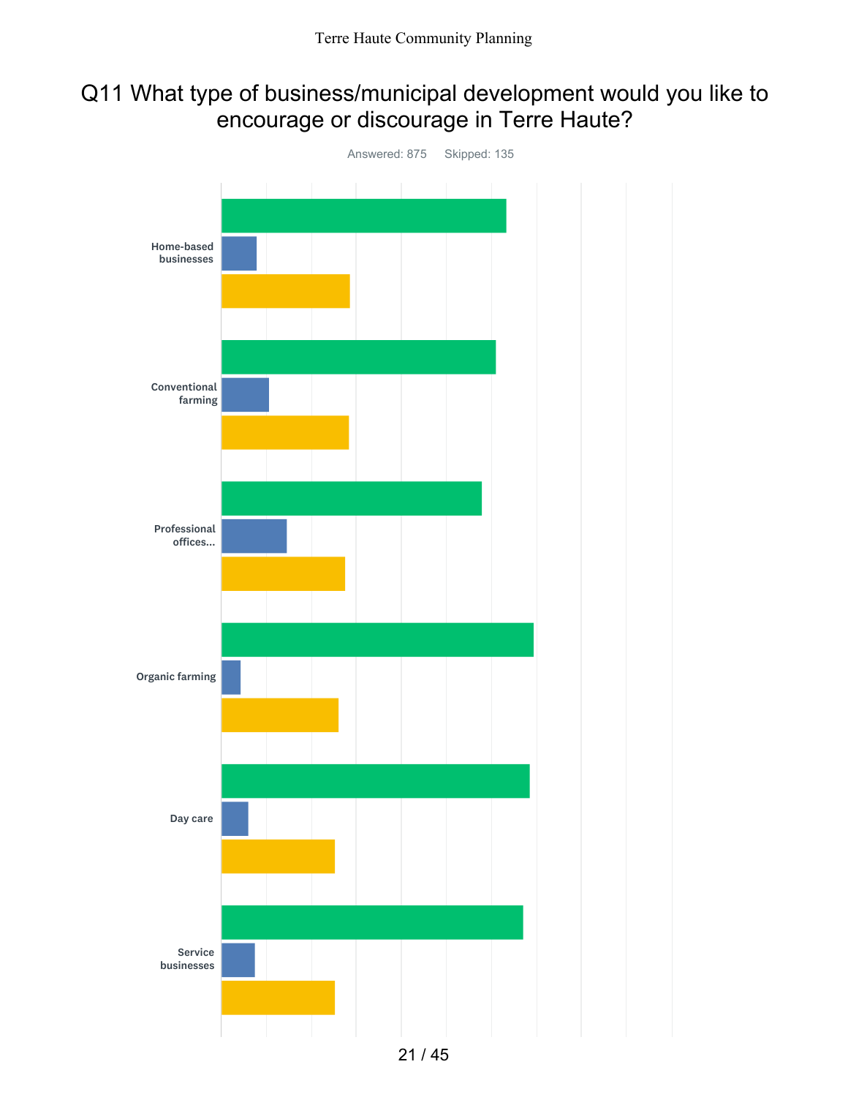### Q11 What type of business/municipal development would you like to encourage or discourage in Terre Haute?

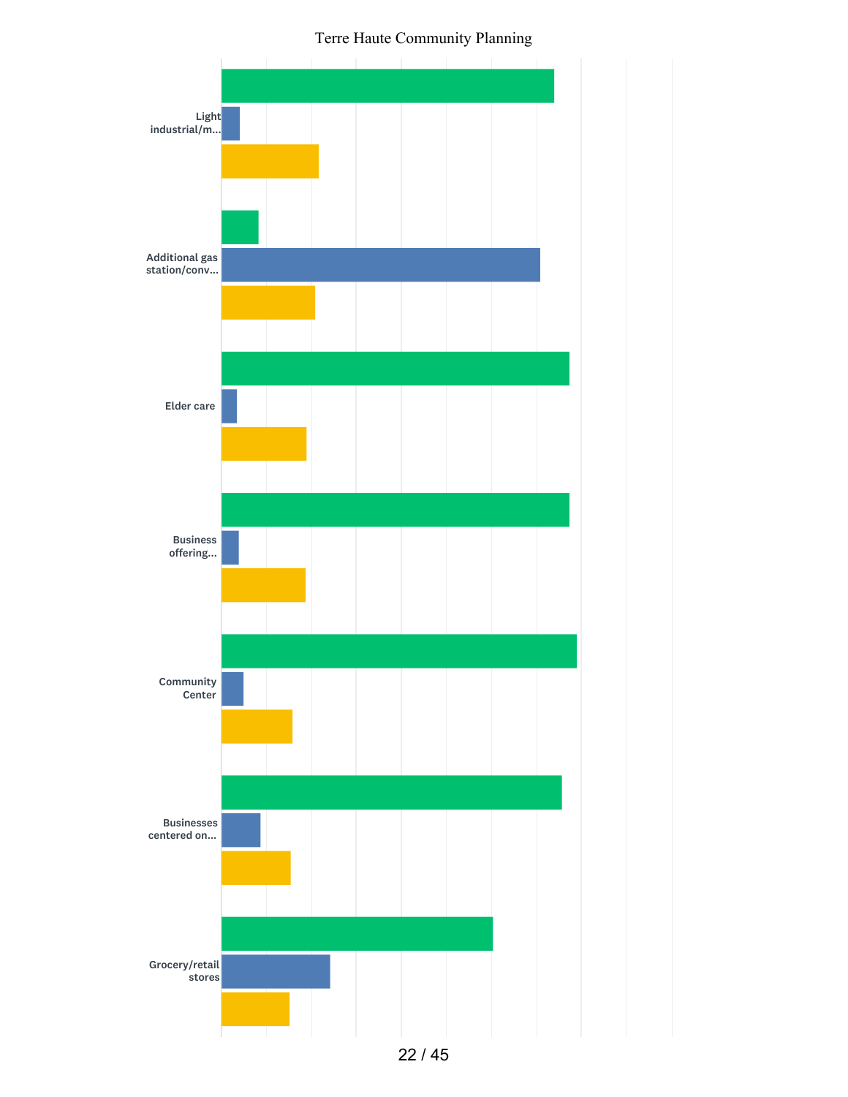

22 / 45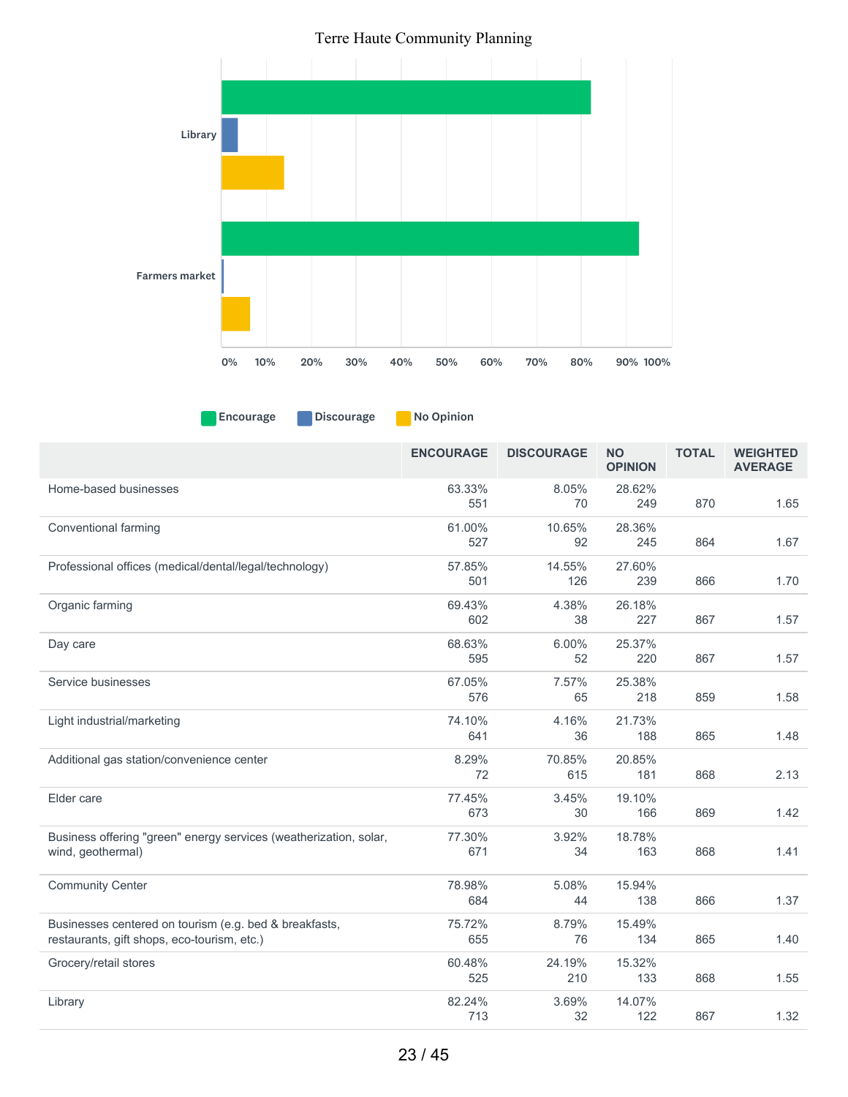

**Encourage Discourage No Opinion** 

|                                                                                                       | <b>ENCOURAGE</b> | <b>DISCOURAGE</b> | <b>NO</b><br><b>OPINION</b> | <b>TOTAL</b> | <b>WEIGHTED</b><br><b>AVERAGE</b> |
|-------------------------------------------------------------------------------------------------------|------------------|-------------------|-----------------------------|--------------|-----------------------------------|
| Home-based businesses                                                                                 | 63.33%<br>551    | 8.05%<br>70       | 28.62%<br>249               | 870          | 1.65                              |
| Conventional farming                                                                                  | 61.00%<br>527    | 10.65%<br>92      | 28.36%<br>245               | 864          | 1.67                              |
| Professional offices (medical/dental/legal/technology)                                                | 57.85%<br>501    | 14.55%<br>126     | 27.60%<br>239               | 866          | 1.70                              |
| Organic farming                                                                                       | 69.43%<br>602    | 4.38%<br>38       | 26.18%<br>227               | 867          | 1.57                              |
| Day care                                                                                              | 68.63%<br>595    | 6.00%<br>52       | 25.37%<br>220               | 867          | 1.57                              |
| Service businesses                                                                                    | 67.05%<br>576    | 7.57%<br>65       | 25.38%<br>218               | 859          | 1.58                              |
| Light industrial/marketing                                                                            | 74.10%<br>641    | 4.16%<br>36       | 21.73%<br>188               | 865          | 1.48                              |
| Additional gas station/convenience center                                                             | 8.29%<br>72      | 70.85%<br>615     | 20.85%<br>181               | 868          | 2.13                              |
| Elder care                                                                                            | 77.45%<br>673    | 3.45%<br>30       | 19.10%<br>166               | 869          | 1.42                              |
| Business offering "green" energy services (weatherization, solar,<br>wind, geothermal)                | 77.30%<br>671    | 3.92%<br>34       | 18.78%<br>163               | 868          | 1.41                              |
| <b>Community Center</b>                                                                               | 78.98%<br>684    | 5.08%<br>44       | 15.94%<br>138               | 866          | 1.37                              |
| Businesses centered on tourism (e.g. bed & breakfasts,<br>restaurants, gift shops, eco-tourism, etc.) | 75.72%<br>655    | 8.79%<br>76       | 15.49%<br>134               | 865          | 1.40                              |
| Grocery/retail stores                                                                                 | 60.48%<br>525    | 24.19%<br>210     | 15.32%<br>133               | 868          | 1.55                              |
| Library                                                                                               | 82.24%<br>713    | 3.69%<br>32       | 14.07%<br>122               | 867          | 1.32                              |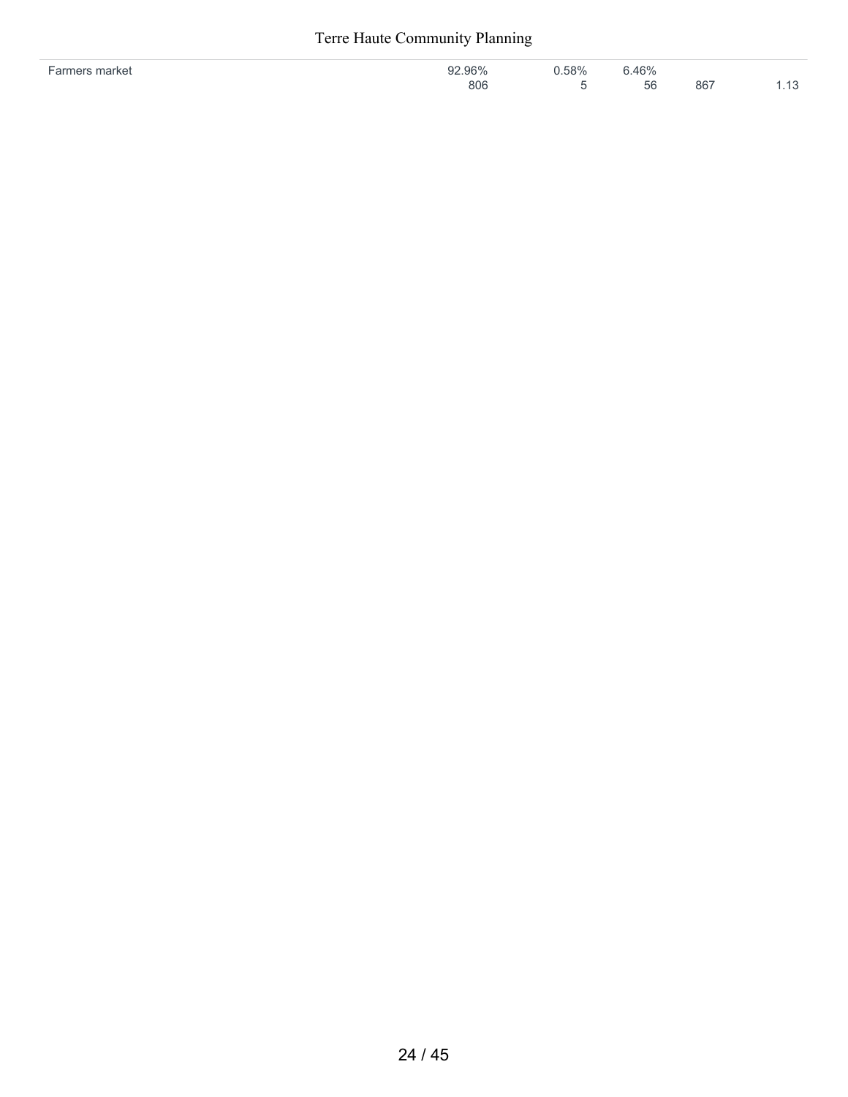| 0001 | 58% | 001              |     |  |
|------|-----|------------------|-----|--|
| 806  |     | 56<br>◡◡<br>$ -$ | 867 |  |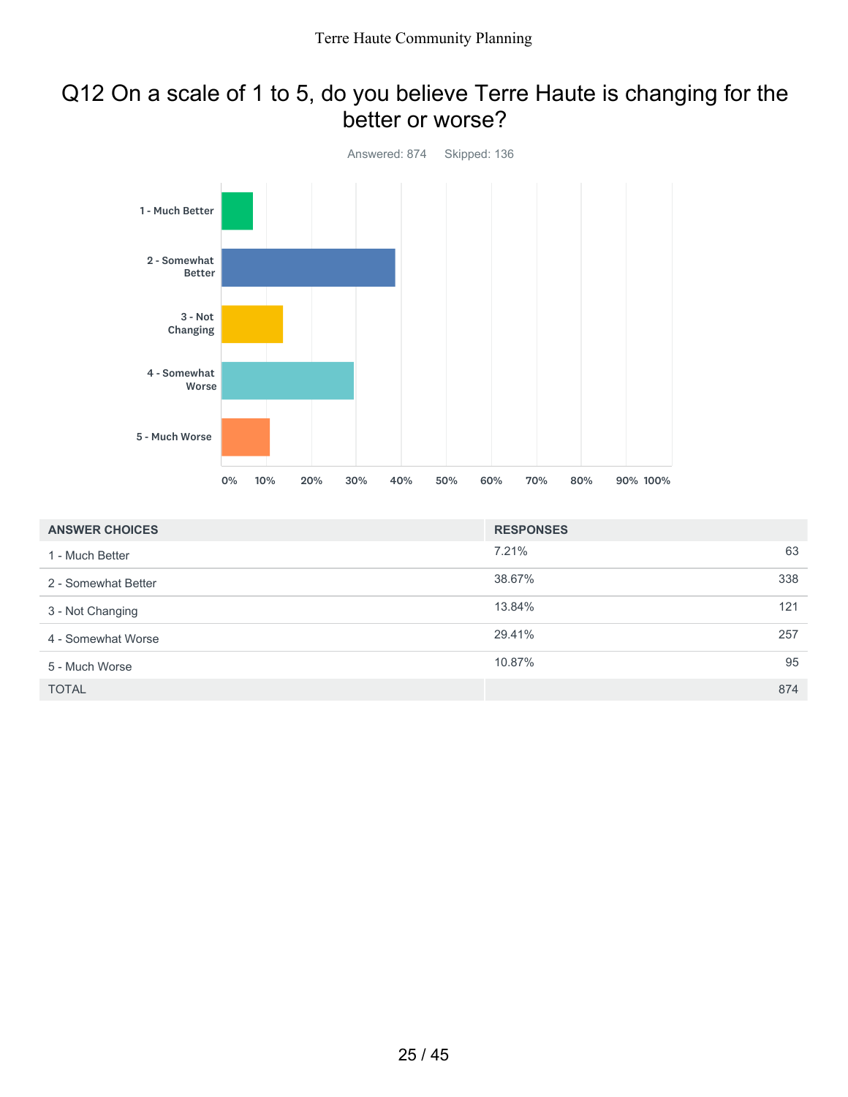### Q12 On a scale of 1 to 5, do you believe Terre Haute is changing for the better or worse?



| <b>ANSWER CHOICES</b> | <b>RESPONSES</b> |     |
|-----------------------|------------------|-----|
| 1 - Much Better       | 7.21%            | 63  |
| 2 - Somewhat Better   | 38.67%           | 338 |
| 3 - Not Changing      | 13.84%           | 121 |
| 4 - Somewhat Worse    | 29.41%           | 257 |
| 5 - Much Worse        | 10.87%           | 95  |
| <b>TOTAL</b>          |                  | 874 |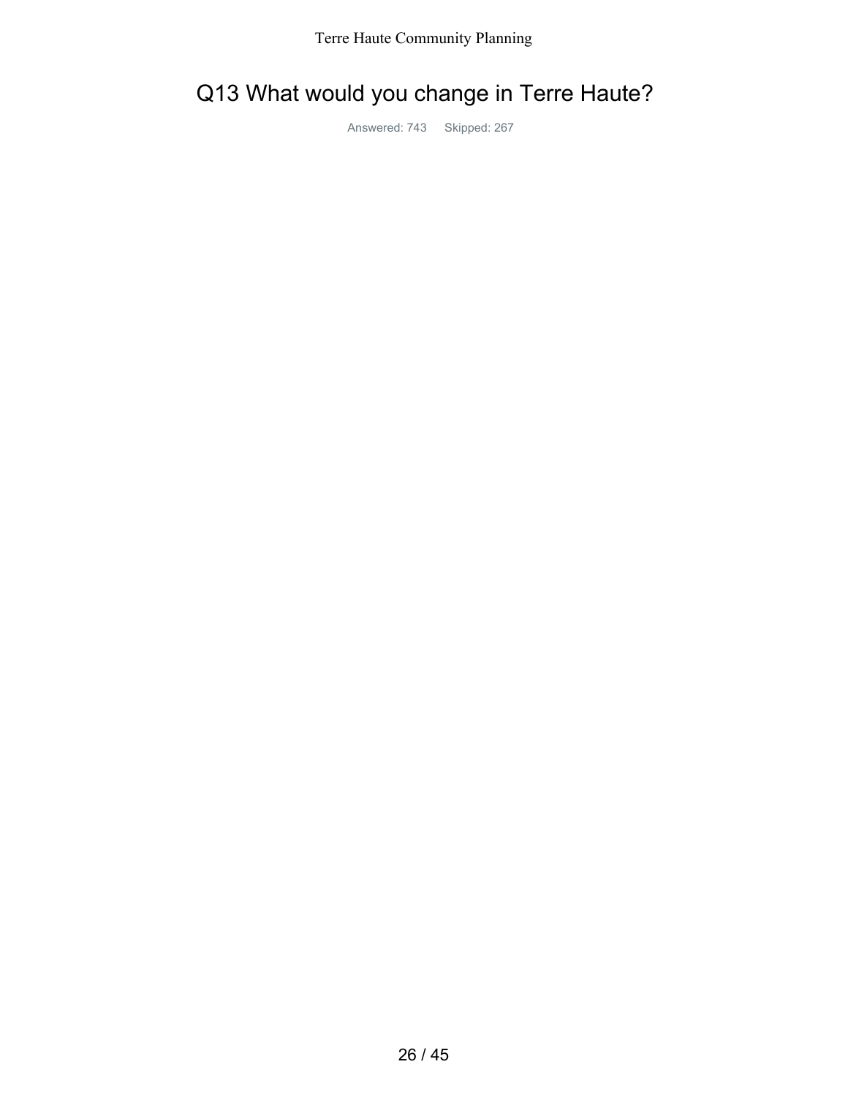# Q13 What would you change in Terre Haute?

Answered: 743 Skipped: 267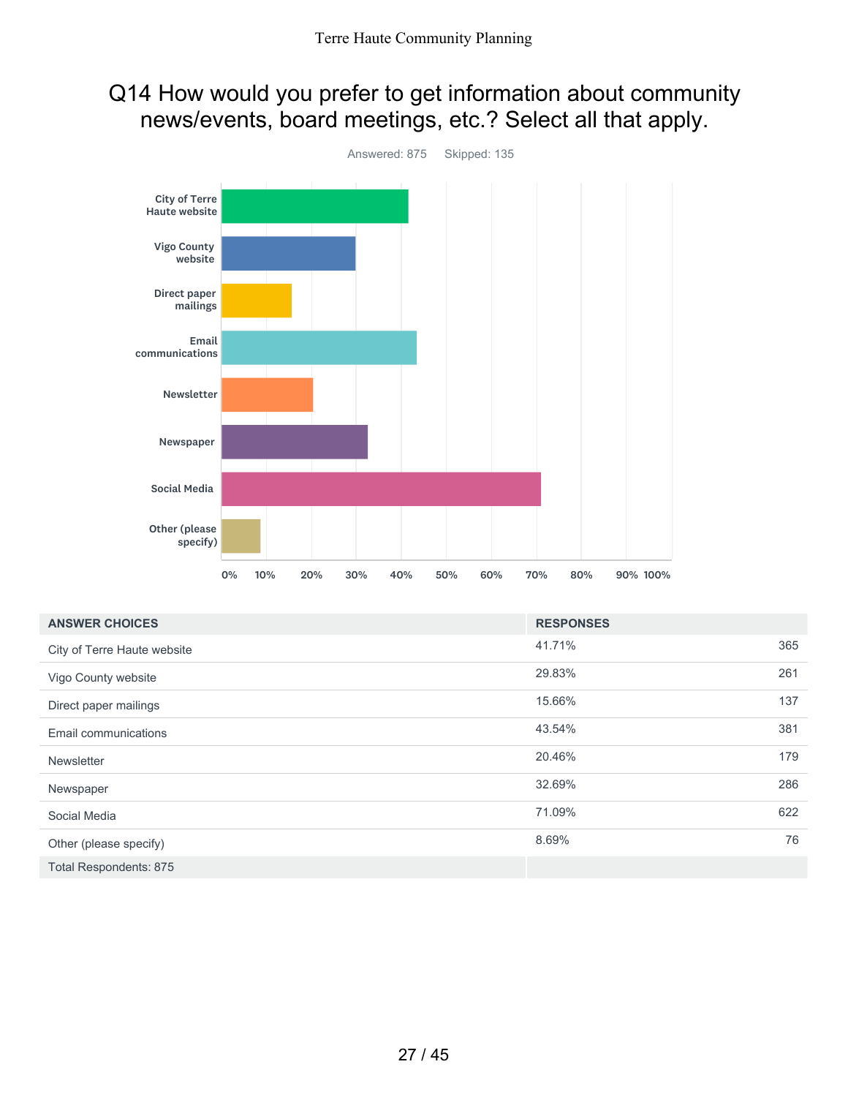### Q14 How would you prefer to get information about community news/events, board meetings, etc.? Select all that apply.



| <b>ANSWER CHOICES</b>       | <b>RESPONSES</b> |     |
|-----------------------------|------------------|-----|
| City of Terre Haute website | 41.71%           | 365 |
| Vigo County website         | 29.83%           | 261 |
| Direct paper mailings       | 15.66%           | 137 |
| Email communications        | 43.54%           | 381 |
| Newsletter                  | 20.46%           | 179 |
| Newspaper                   | 32.69%           | 286 |
| Social Media                | 71.09%           | 622 |
| Other (please specify)      | 8.69%            | 76  |
| Total Respondents: 875      |                  |     |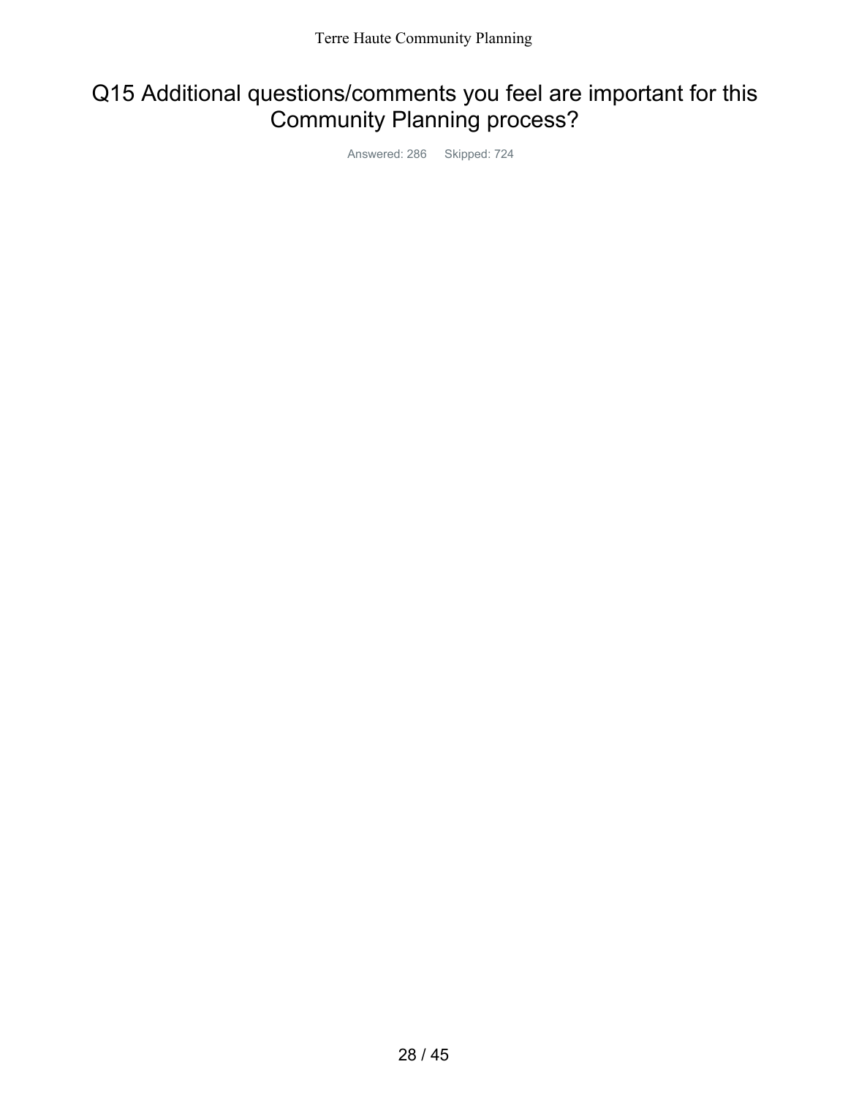### Q15 Additional questions/comments you feel are important for this Community Planning process?

Answered: 286 Skipped: 724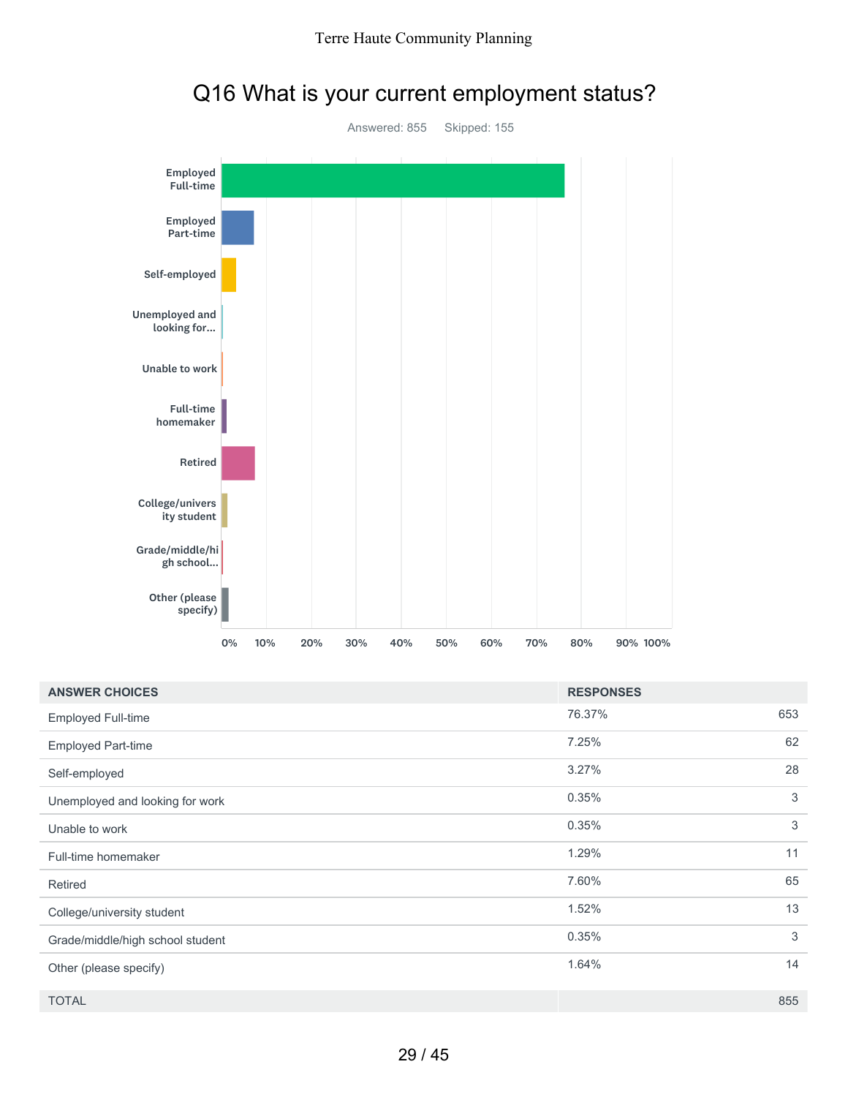

# Q16 What is your current employment status?

| <b>ANSWER CHOICES</b>            | <b>RESPONSES</b> |     |
|----------------------------------|------------------|-----|
| <b>Employed Full-time</b>        | 76.37%           | 653 |
| <b>Employed Part-time</b>        | 7.25%            | 62  |
| Self-employed                    | 3.27%            | 28  |
| Unemployed and looking for work  | 0.35%            | 3   |
| Unable to work                   | 0.35%            | 3   |
| Full-time homemaker              | 1.29%            | 11  |
| Retired                          | 7.60%            | 65  |
| College/university student       | 1.52%            | 13  |
| Grade/middle/high school student | 0.35%            | 3   |
| Other (please specify)           | 1.64%            | 14  |
| <b>TOTAL</b>                     |                  | 855 |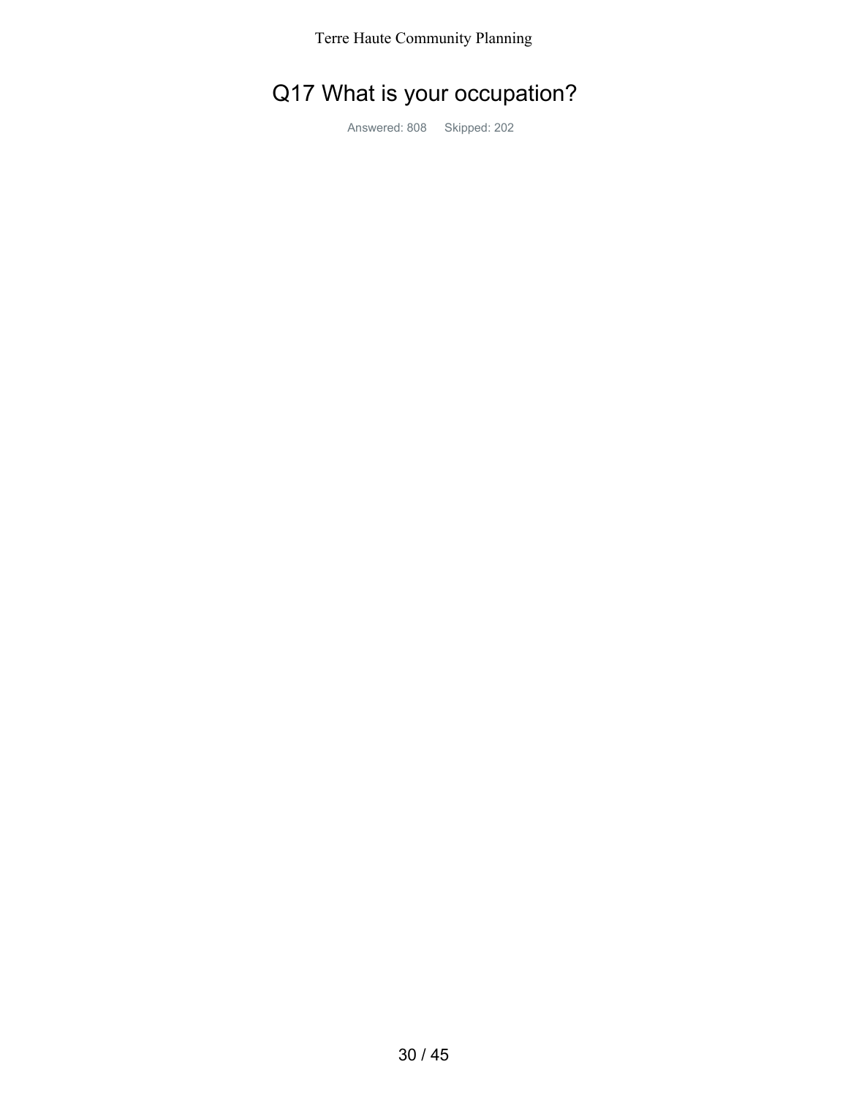# Q17 What is your occupation?

Answered: 808 Skipped: 202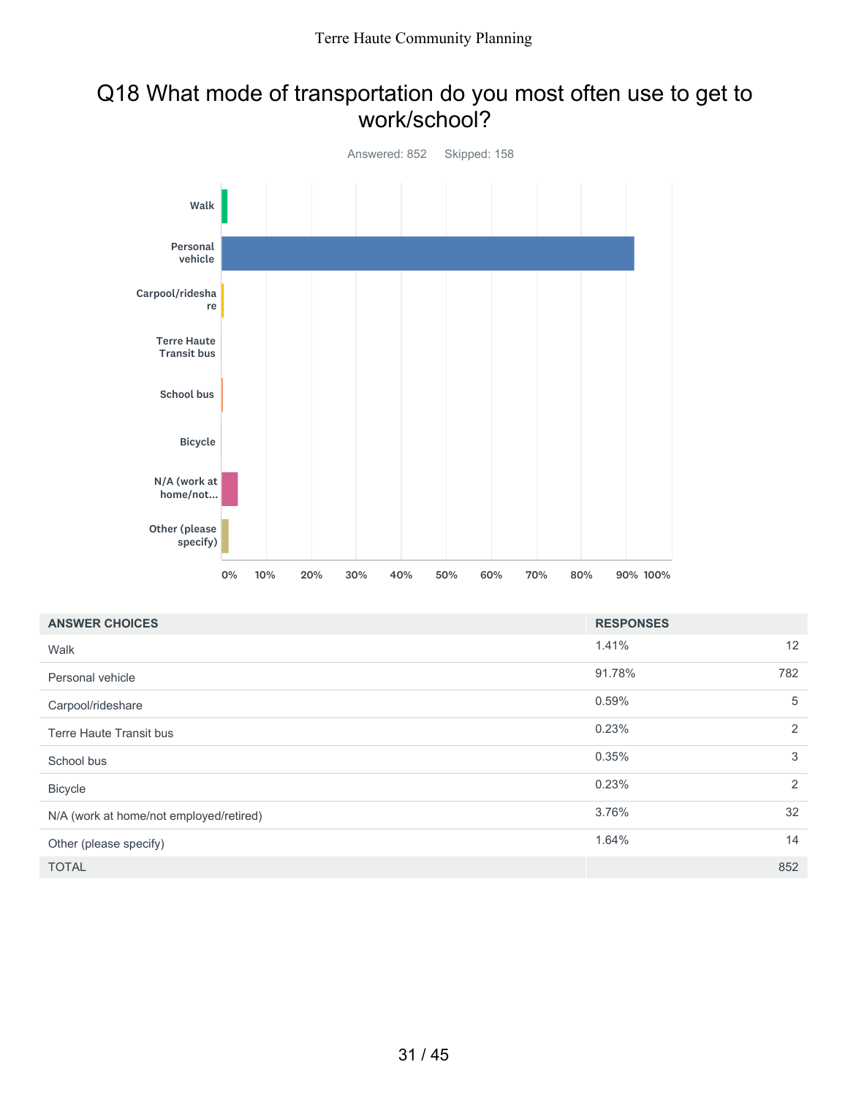### Q18 What mode of transportation do you most often use to get to work/school?



| <b>ANSWER CHOICES</b>                   | <b>RESPONSES</b> |     |
|-----------------------------------------|------------------|-----|
| Walk                                    | 1.41%            | 12  |
| Personal vehicle                        | 91.78%           | 782 |
| Carpool/rideshare                       | 0.59%            | 5   |
| Terre Haute Transit bus                 | 0.23%            | 2   |
| School bus                              | 0.35%            | 3   |
| <b>Bicycle</b>                          | 0.23%            | 2   |
| N/A (work at home/not employed/retired) | 3.76%            | 32  |
| Other (please specify)                  | 1.64%            | 14  |
| <b>TOTAL</b>                            |                  | 852 |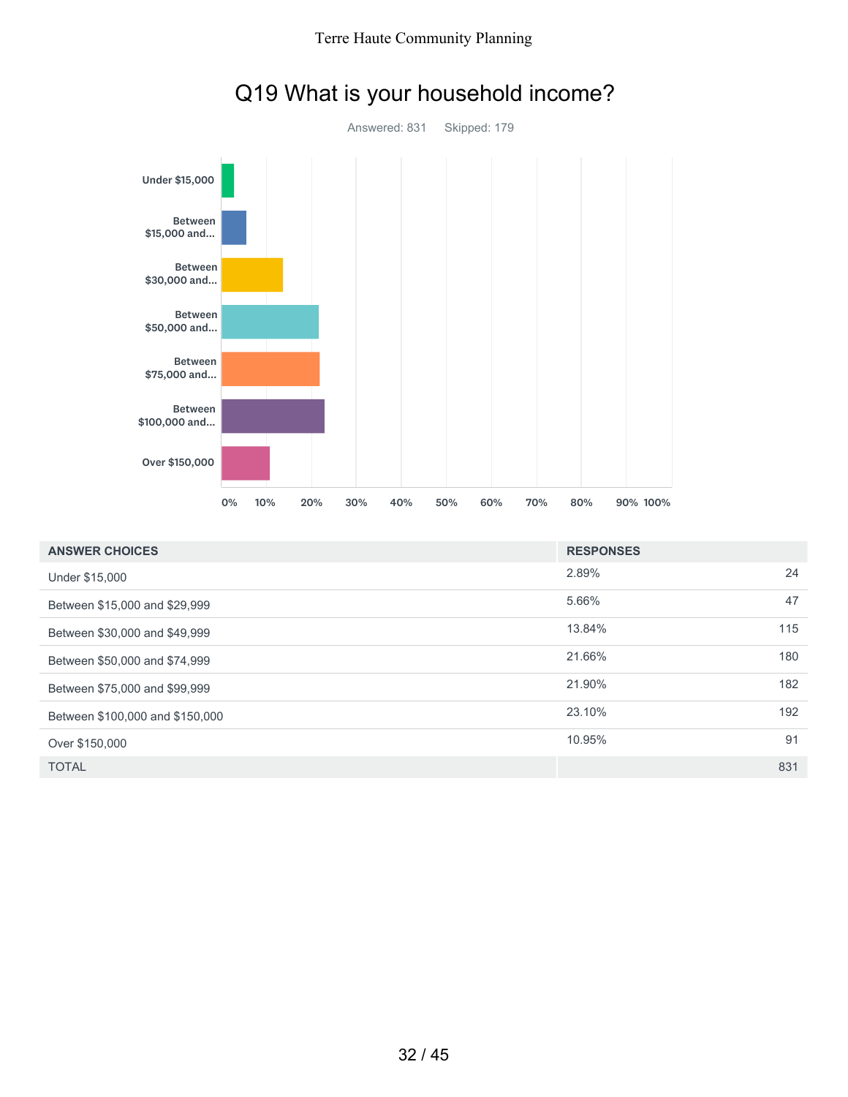

# Q19 What is your household income?

| <b>ANSWER CHOICES</b>           | <b>RESPONSES</b> |     |
|---------------------------------|------------------|-----|
| Under \$15,000                  | 2.89%            | 24  |
| Between \$15,000 and \$29,999   | 5.66%            | 47  |
| Between \$30,000 and \$49,999   | 13.84%           | 115 |
| Between \$50,000 and \$74,999   | 21.66%           | 180 |
| Between \$75,000 and \$99,999   | 21.90%           | 182 |
| Between \$100,000 and \$150,000 | 23.10%           | 192 |
| Over \$150,000                  | 10.95%           | 91  |
| <b>TOTAL</b>                    |                  | 831 |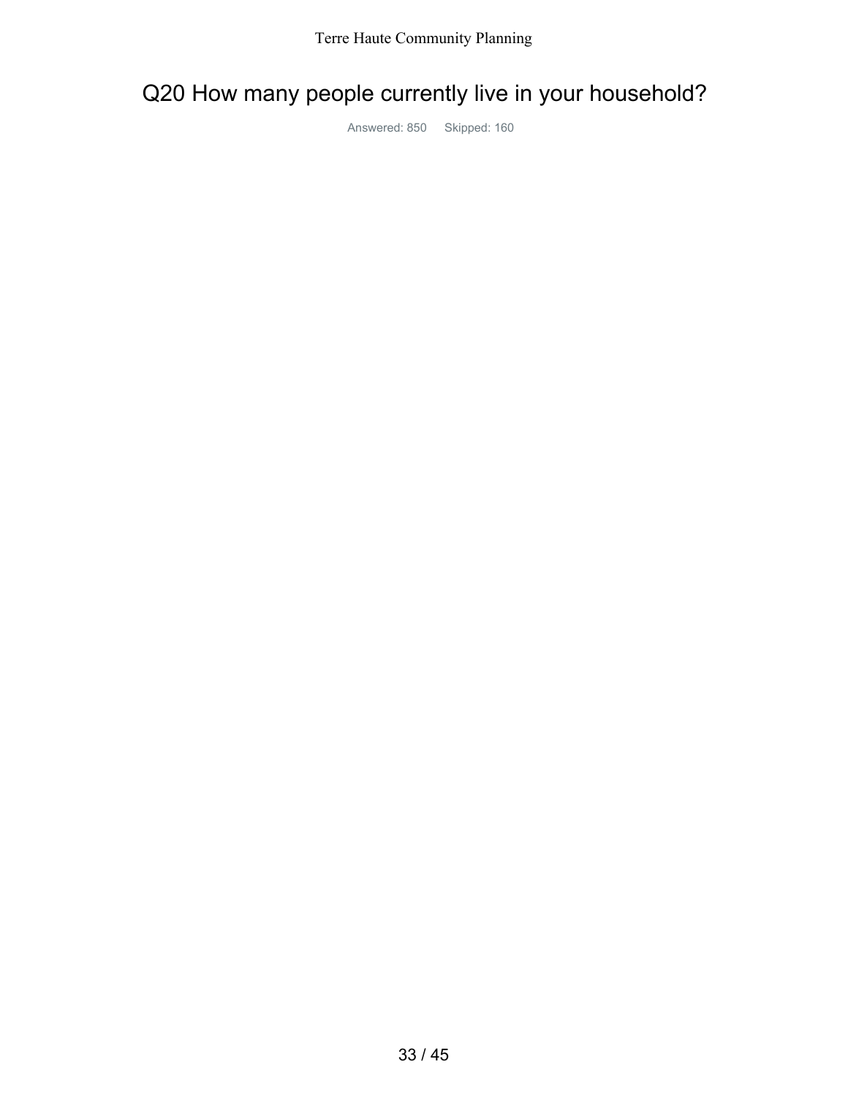# Q20 How many people currently live in your household?

Answered: 850 Skipped: 160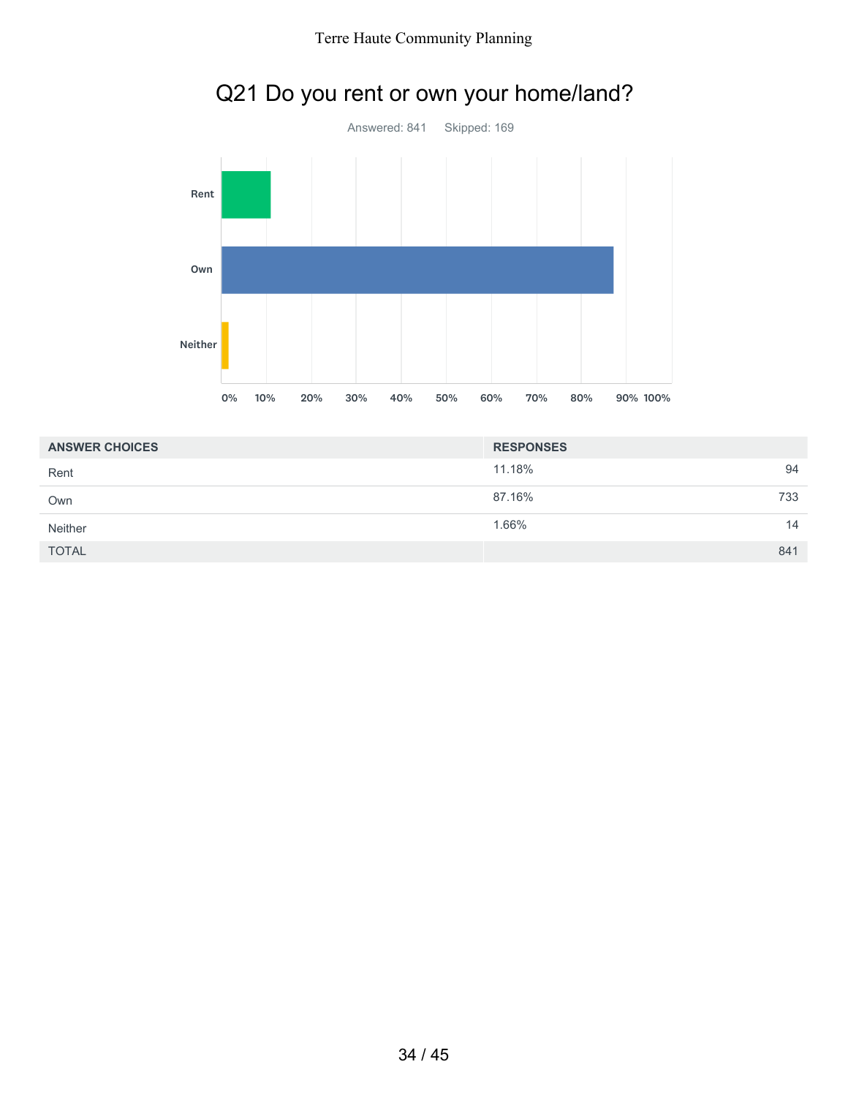

## Q21 Do you rent or own your home/land?

| <b>ANSWER CHOICES</b> | <b>RESPONSES</b> |     |
|-----------------------|------------------|-----|
| Rent                  | 11.18%           | 94  |
| Own                   | 87.16%           | 733 |
| <b>Neither</b>        | 1.66%            | 14  |
| <b>TOTAL</b>          |                  | 841 |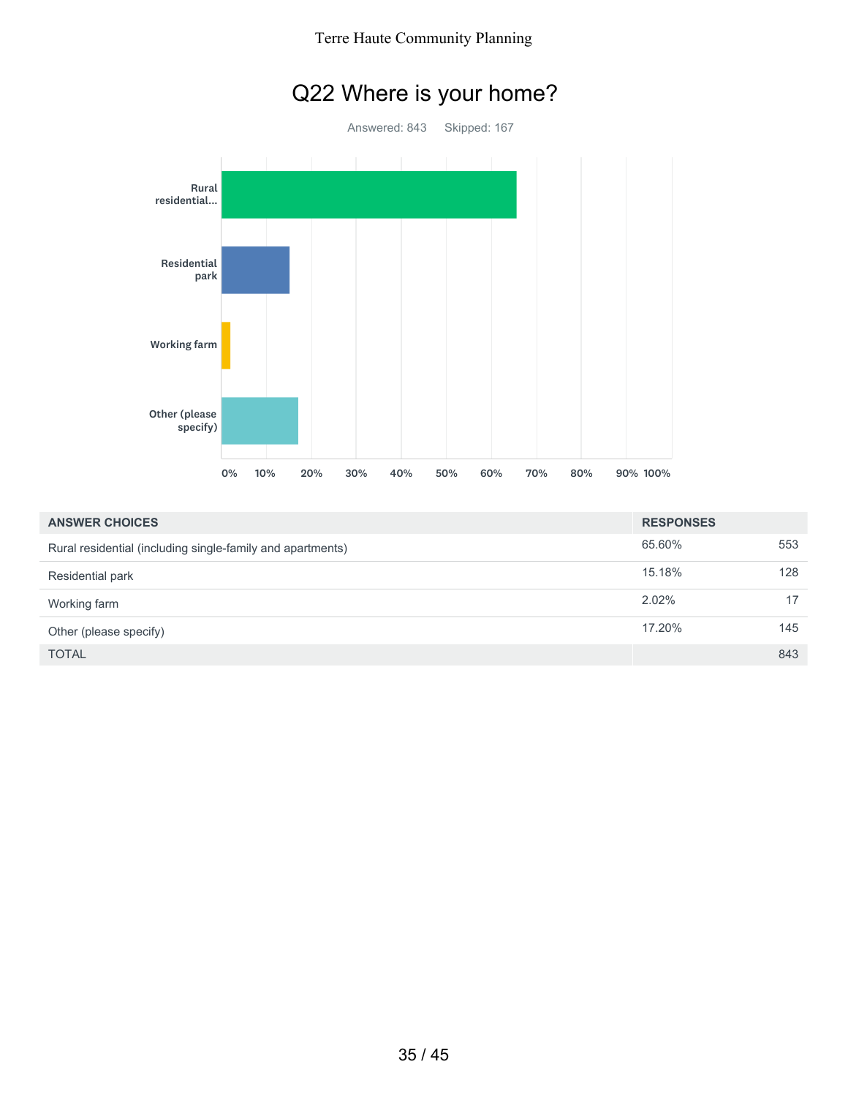

| <b>ANSWER CHOICES</b>                                      | <b>RESPONSES</b> |     |
|------------------------------------------------------------|------------------|-----|
| Rural residential (including single-family and apartments) | 65.60%           | 553 |
| Residential park                                           | 15.18%           | 128 |
| Working farm                                               | 2.02%            | 17  |
| Other (please specify)                                     | 17.20%           | 145 |
| <b>TOTAL</b>                                               |                  | 843 |

## Q22 Where is your home?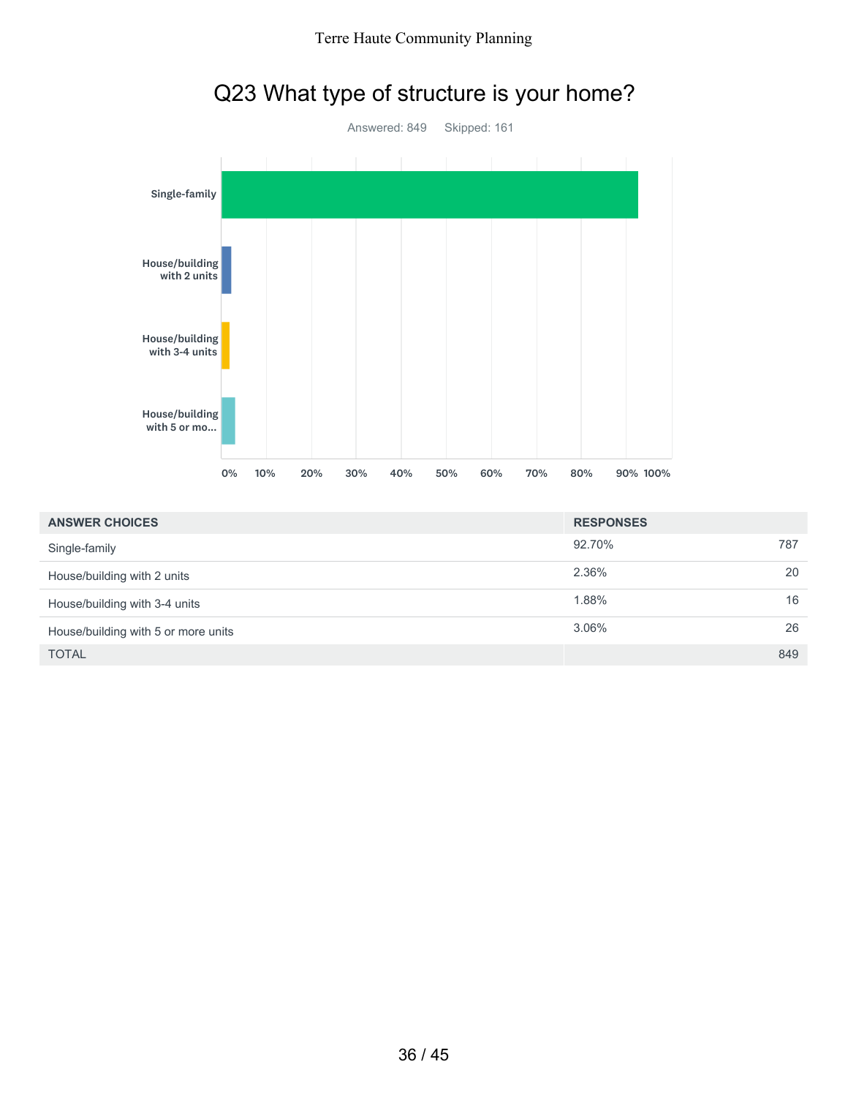

| Q23 What type of structure is your home? |  |  |
|------------------------------------------|--|--|
|------------------------------------------|--|--|

| <b>ANSWER CHOICES</b>               | <b>RESPONSES</b> |     |
|-------------------------------------|------------------|-----|
| Single-family                       | 92.70%           | 787 |
| House/building with 2 units         | 2.36%            | 20  |
| House/building with 3-4 units       | 1.88%            | 16  |
| House/building with 5 or more units | $3.06\%$         | 26  |
| <b>TOTAL</b>                        |                  | 849 |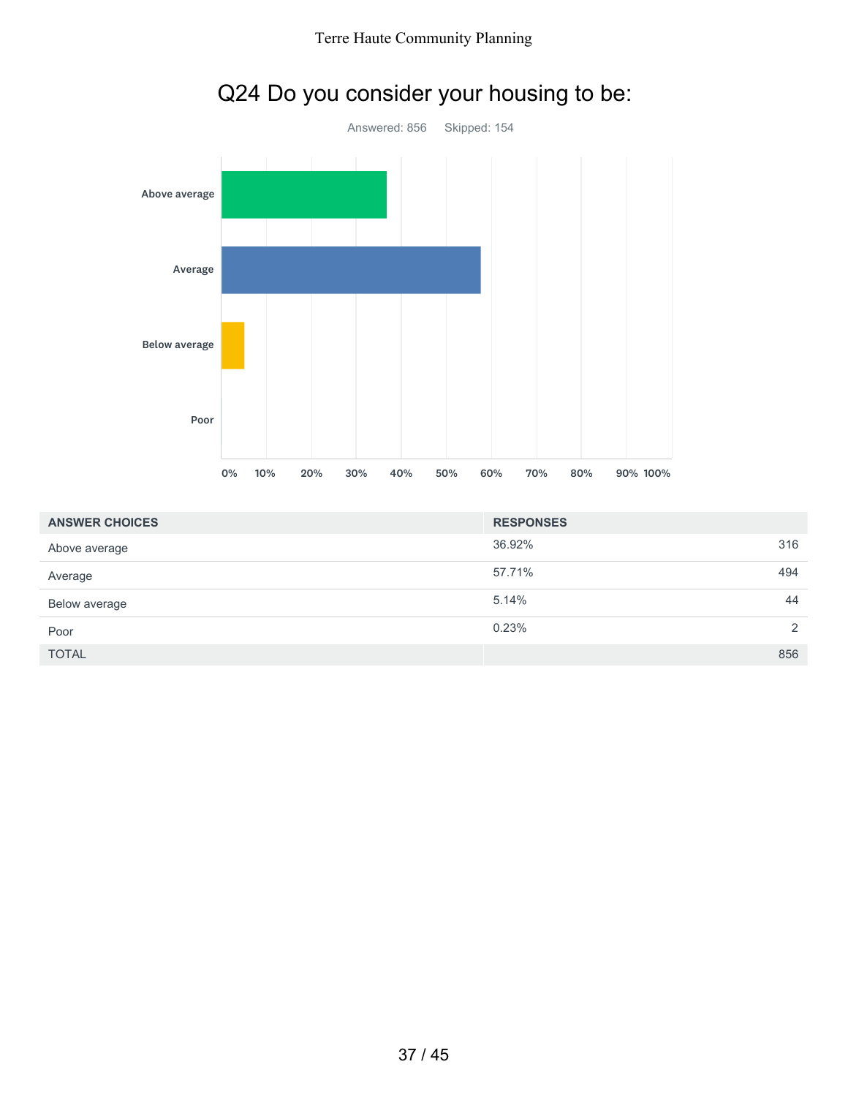

# Q24 Do you consider your housing to be:

| <b>ANSWER CHOICES</b> | <b>RESPONSES</b> |     |
|-----------------------|------------------|-----|
| Above average         | 36.92%           | 316 |
| Average               | 57.71%           | 494 |
| Below average         | 5.14%            | 44  |
| Poor                  | 0.23%            | 2   |
| <b>TOTAL</b>          |                  | 856 |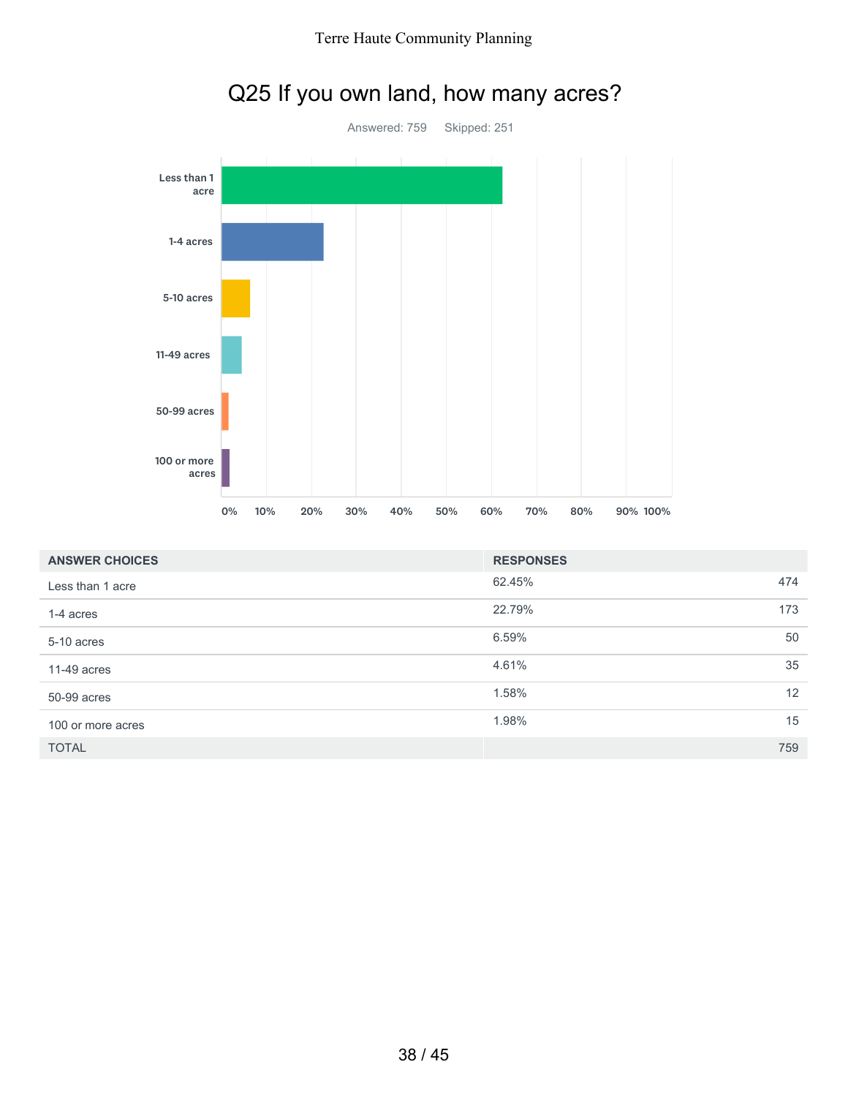



# Q25 If you own land, how many acres?

| <b>ANSWER CHOICES</b> | <b>RESPONSES</b> |     |
|-----------------------|------------------|-----|
| Less than 1 acre      | 62.45%           | 474 |
| 1-4 acres             | 22.79%           | 173 |
| 5-10 acres            | 6.59%            | 50  |
| $11-49$ acres         | 4.61%            | 35  |
| 50-99 acres           | 1.58%            | 12  |
| 100 or more acres     | 1.98%            | 15  |
| <b>TOTAL</b>          |                  | 759 |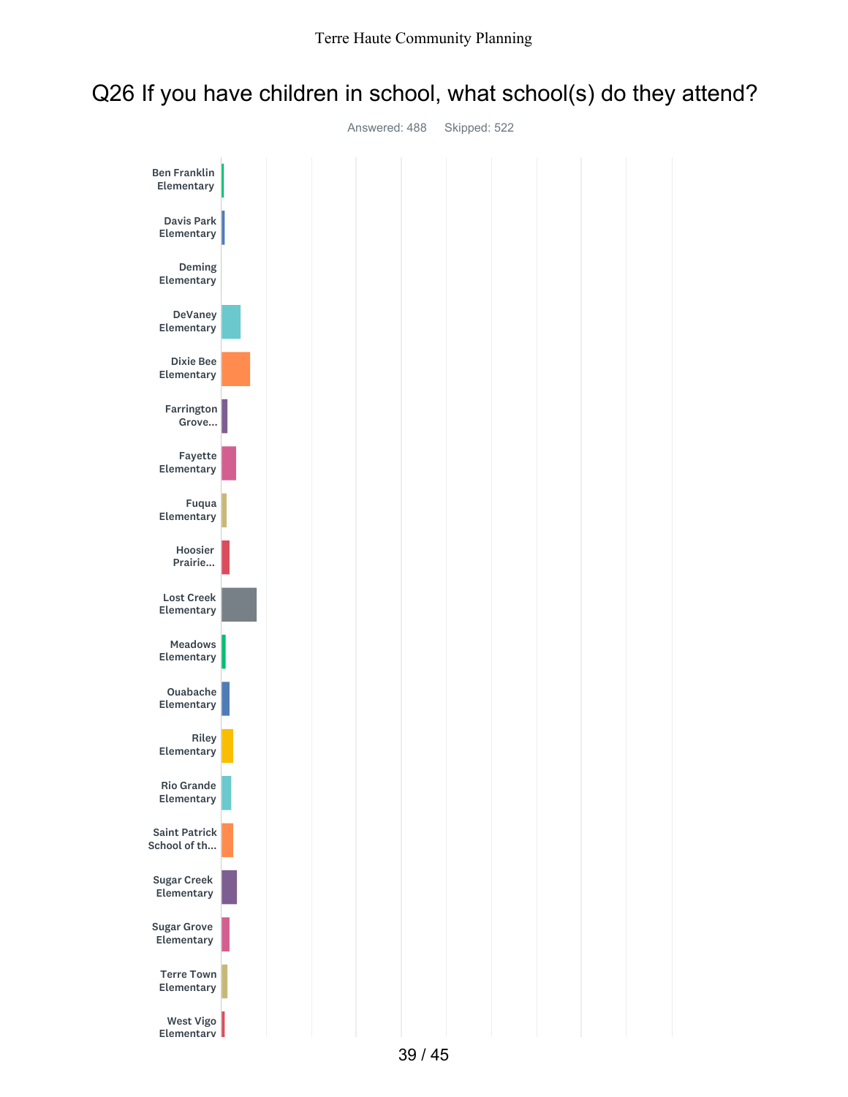### Q26 If you have children in school, what school(s) do they attend?

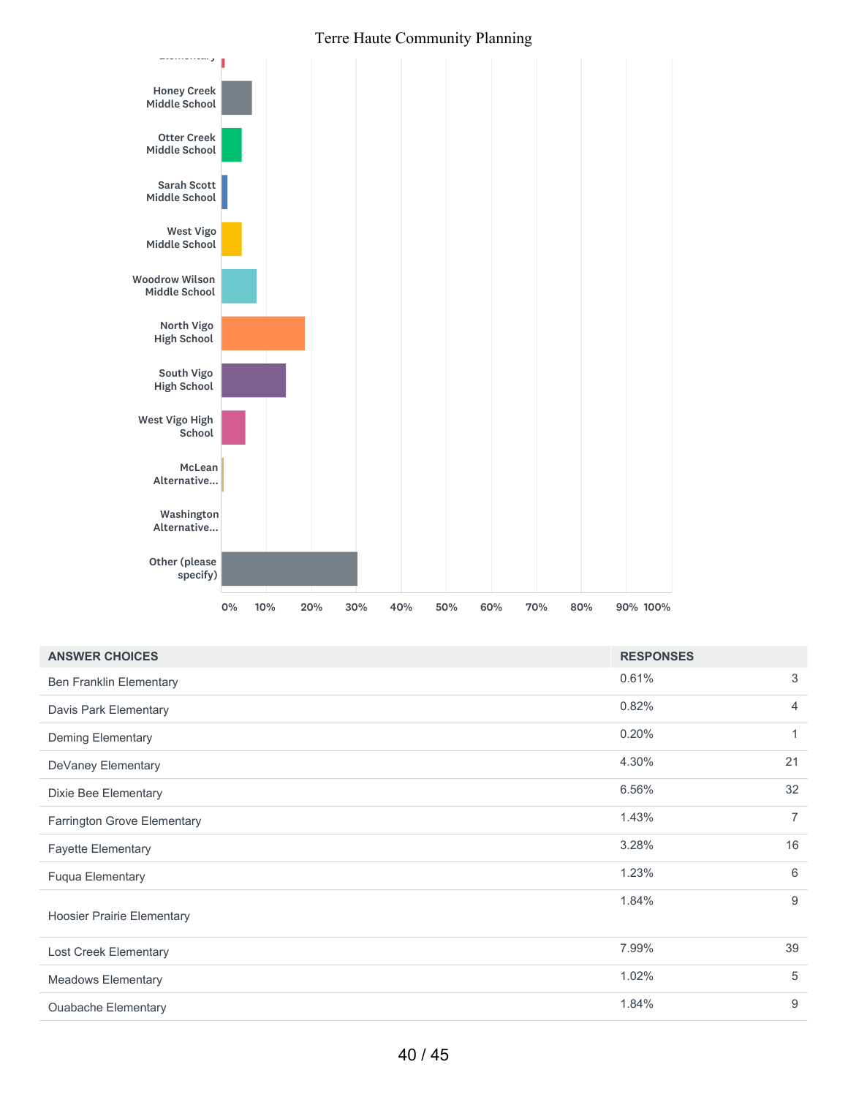

| <b>ANSWER CHOICES</b>             | <b>RESPONSES</b> |                |
|-----------------------------------|------------------|----------------|
| <b>Ben Franklin Elementary</b>    | 0.61%            | 3              |
| Davis Park Elementary             | 0.82%            | 4              |
| <b>Deming Elementary</b>          | 0.20%            | 1              |
| DeVaney Elementary                | 4.30%            | 21             |
| Dixie Bee Elementary              | 6.56%            | 32             |
| Farrington Grove Elementary       | 1.43%            | $\overline{7}$ |
| <b>Fayette Elementary</b>         | 3.28%            | 16             |
| <b>Fuqua Elementary</b>           | 1.23%            | 6              |
| <b>Hoosier Prairie Elementary</b> | 1.84%            | 9              |
| Lost Creek Elementary             | 7.99%            | 39             |
| <b>Meadows Elementary</b>         | 1.02%            | 5              |
| <b>Ouabache Elementary</b>        | 1.84%            | 9              |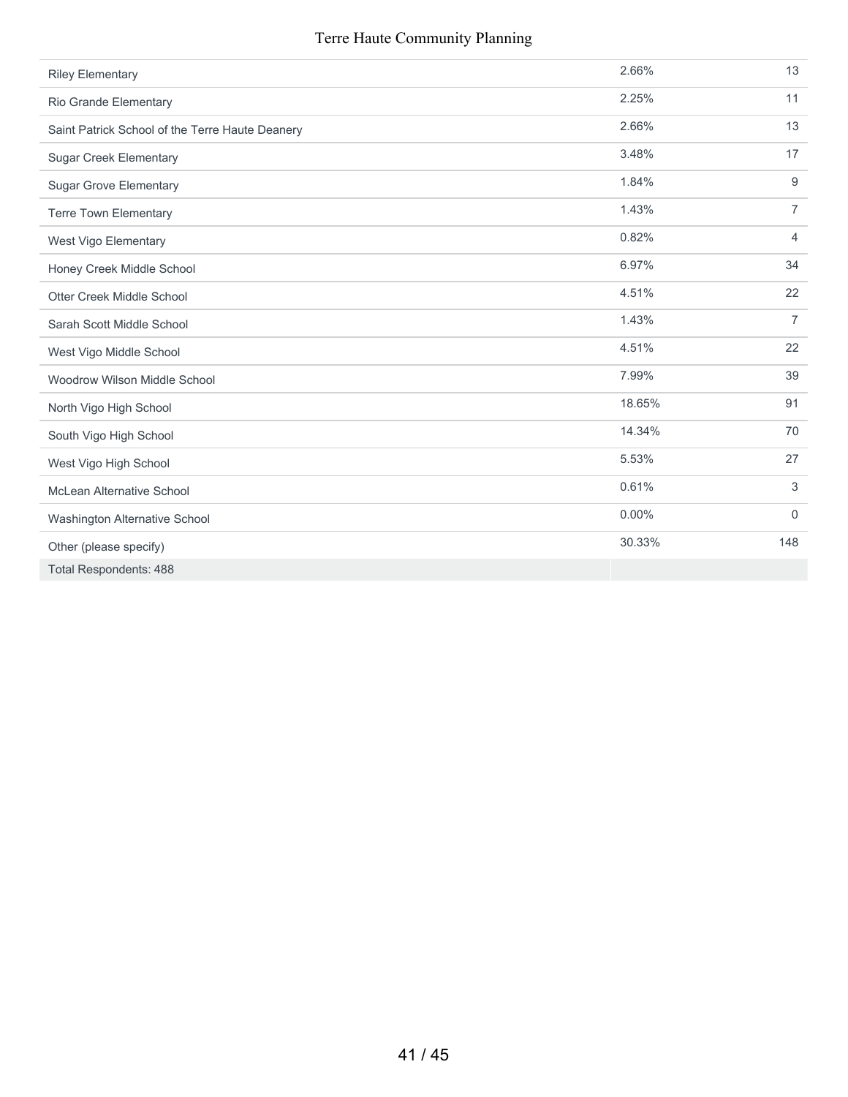| <b>Riley Elementary</b>                         | 2.66%  | 13             |
|-------------------------------------------------|--------|----------------|
| Rio Grande Elementary                           | 2.25%  | 11             |
| Saint Patrick School of the Terre Haute Deanery | 2.66%  | 13             |
| <b>Sugar Creek Elementary</b>                   | 3.48%  | 17             |
| <b>Sugar Grove Elementary</b>                   | 1.84%  | 9              |
| <b>Terre Town Elementary</b>                    | 1.43%  | $\overline{7}$ |
| West Vigo Elementary                            | 0.82%  | $\overline{4}$ |
| Honey Creek Middle School                       | 6.97%  | 34             |
| Otter Creek Middle School                       | 4.51%  | 22             |
| Sarah Scott Middle School                       | 1.43%  | $\overline{7}$ |
| West Vigo Middle School                         | 4.51%  | 22             |
| Woodrow Wilson Middle School                    | 7.99%  | 39             |
| North Vigo High School                          | 18.65% | 91             |
| South Vigo High School                          | 14.34% | 70             |
| West Vigo High School                           | 5.53%  | 27             |
| McLean Alternative School                       | 0.61%  | 3              |
| Washington Alternative School                   | 0.00%  | $\mathbf 0$    |
| Other (please specify)                          | 30.33% | 148            |
| <b>Total Respondents: 488</b>                   |        |                |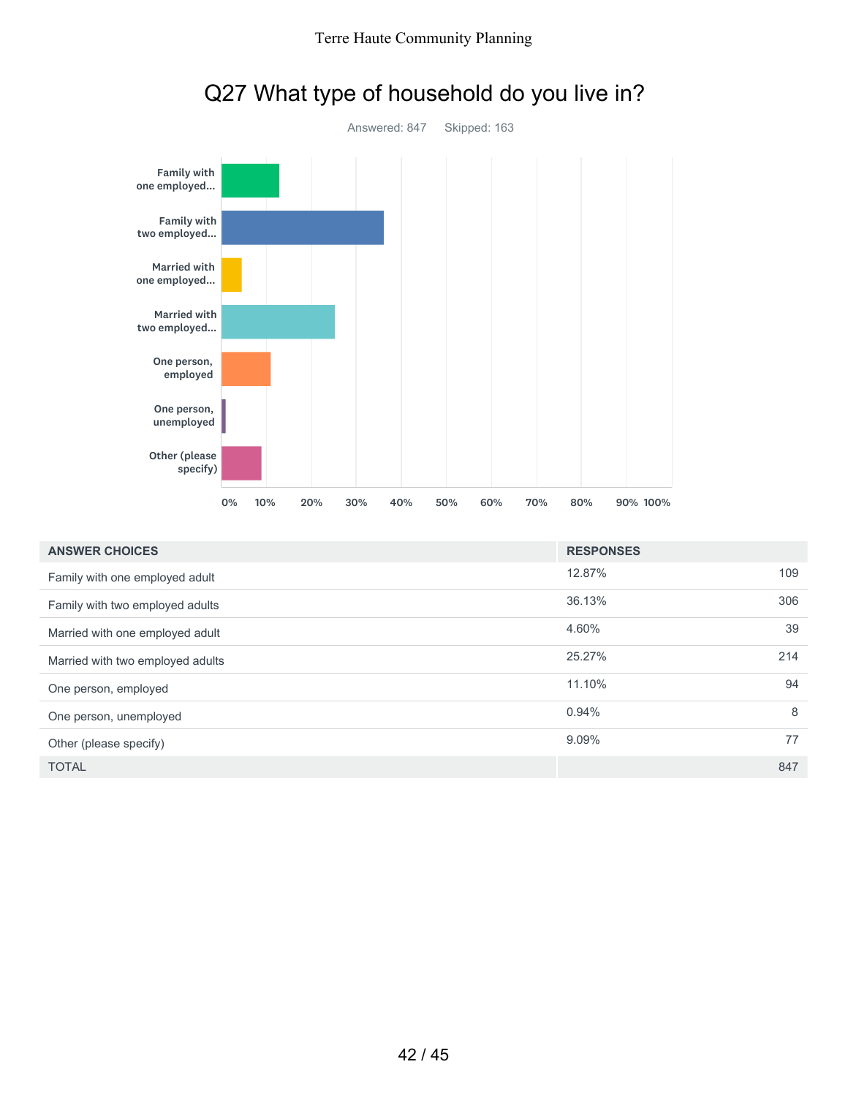

# Q27 What type of household do you live in?

| <b>ANSWER CHOICES</b>            | <b>RESPONSES</b> |     |
|----------------------------------|------------------|-----|
| Family with one employed adult   | 12.87%           | 109 |
| Family with two employed adults  | 36.13%           | 306 |
| Married with one employed adult  | 4.60%            | 39  |
| Married with two employed adults | 25.27%           | 214 |
| One person, employed             | 11.10%           | 94  |
| One person, unemployed           | 0.94%            | 8   |
| Other (please specify)           | 9.09%            | 77  |
| <b>TOTAL</b>                     |                  | 847 |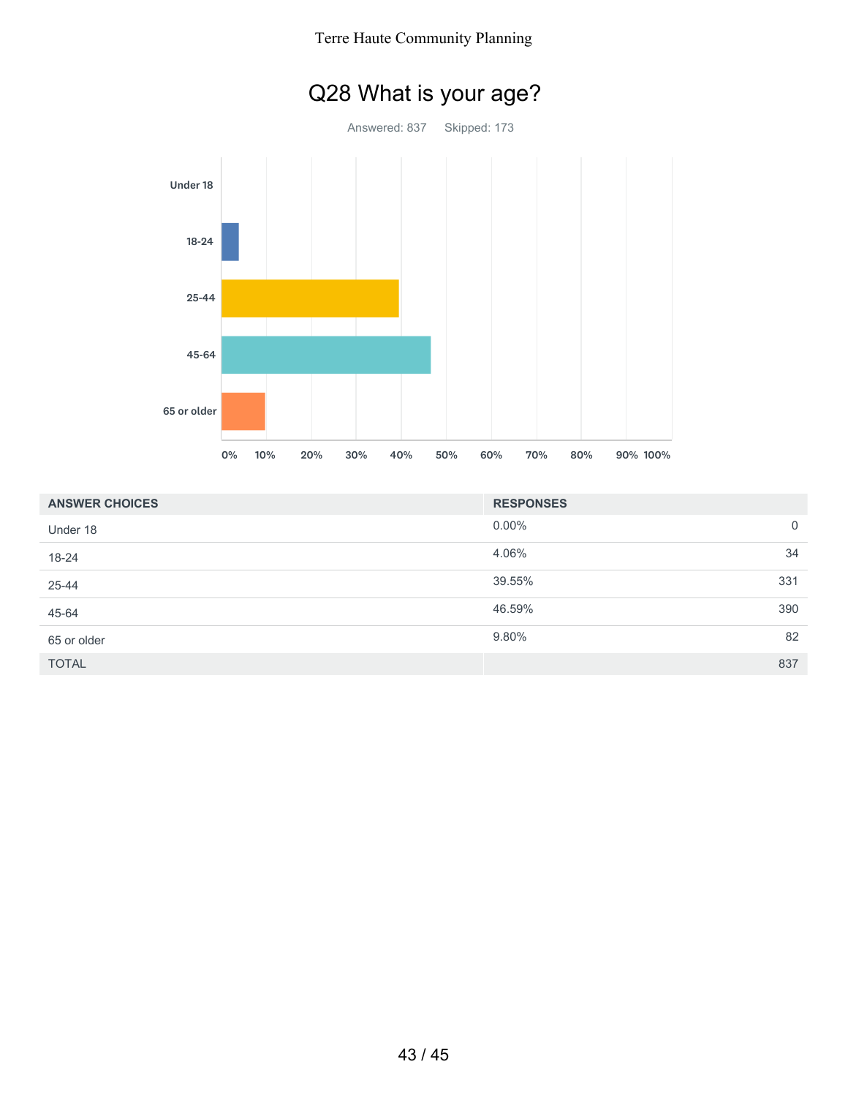

| <b>ANSWER CHOICES</b> | <b>RESPONSES</b> |                |
|-----------------------|------------------|----------------|
| Under 18              | $0.00\%$         | $\overline{0}$ |
| 18-24                 | 4.06%            | 34             |
| 25-44                 | 39.55%           | 331            |
| 45-64                 | 46.59%           | 390            |
| 65 or older           | 9.80%            | 82             |
| <b>TOTAL</b>          |                  | 837            |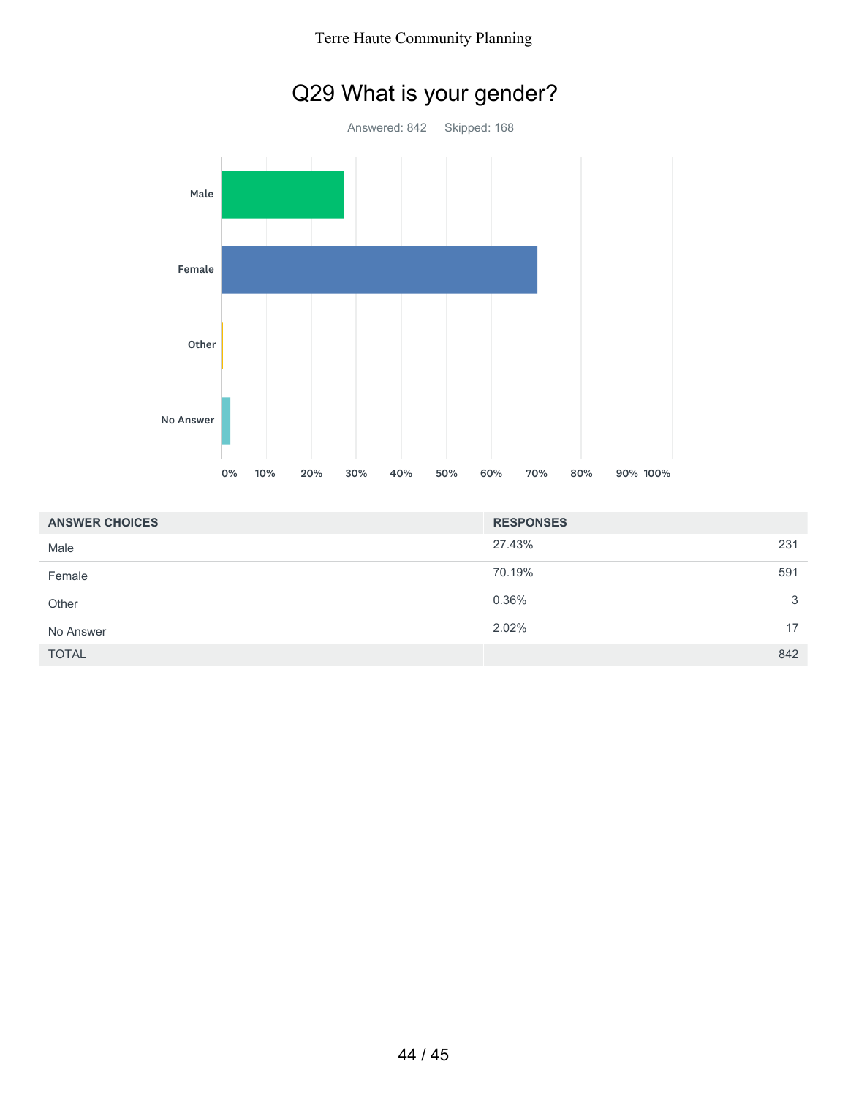

| <b>ANSWER CHOICES</b> | <b>RESPONSES</b> |     |
|-----------------------|------------------|-----|
| Male                  | 27.43%           | 231 |
| Female                | 70.19%           | 591 |
| Other                 | 0.36%            | 3   |
| No Answer             | 2.02%            | 17  |
| <b>TOTAL</b>          |                  | 842 |

## Q29 What is your gender?